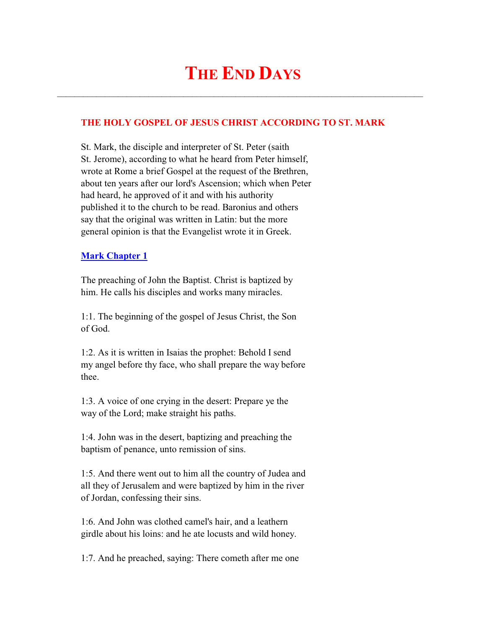# **THE END DAYS**

 $\mathcal{L}_\text{max}$  and  $\mathcal{L}_\text{max}$  and  $\mathcal{L}_\text{max}$  and  $\mathcal{L}_\text{max}$  and  $\mathcal{L}_\text{max}$  and  $\mathcal{L}_\text{max}$ 

# **THE HOLY GOSPEL OF JESUS CHRIST ACCORDING TO ST. MARK**

 St. Mark, the disciple and interpreter of St. Peter (saith St. Jerome), according to what he heard from Peter himself, wrote at Rome a brief Gospel at the request of the Brethren, about ten years after our lord's Ascension; which when Peter had heard, he approved of it and with his authority published it to the church to be read. Baronius and others say that the original was written in Latin: but the more general opinion is that the Evangelist wrote it in Greek.

#### **Mark Chapter 1**

 The preaching of John the Baptist. Christ is baptized by him. He calls his disciples and works many miracles.

 1:1. The beginning of the gospel of Jesus Christ, the Son of God.

 1:2. As it is written in Isaias the prophet: Behold I send my angel before thy face, who shall prepare the way before thee.

 1:3. A voice of one crying in the desert: Prepare ye the way of the Lord; make straight his paths.

 1:4. John was in the desert, baptizing and preaching the baptism of penance, unto remission of sins.

 1:5. And there went out to him all the country of Judea and all they of Jerusalem and were baptized by him in the river of Jordan, confessing their sins.

 1:6. And John was clothed camel's hair, and a leathern girdle about his loins: and he ate locusts and wild honey.

1:7. And he preached, saying: There cometh after me one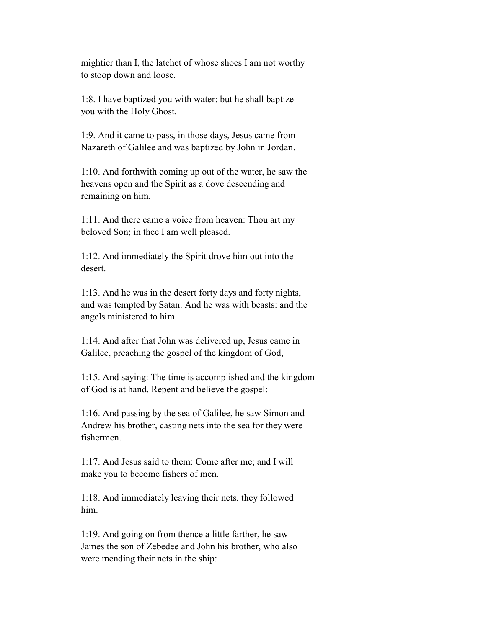mightier than I, the latchet of whose shoes I am not worthy to stoop down and loose.

 1:8. I have baptized you with water: but he shall baptize you with the Holy Ghost.

 1:9. And it came to pass, in those days, Jesus came from Nazareth of Galilee and was baptized by John in Jordan.

 1:10. And forthwith coming up out of the water, he saw the heavens open and the Spirit as a dove descending and remaining on him.

 1:11. And there came a voice from heaven: Thou art my beloved Son; in thee I am well pleased.

 1:12. And immediately the Spirit drove him out into the desert.

 1:13. And he was in the desert forty days and forty nights, and was tempted by Satan. And he was with beasts: and the angels ministered to him.

 1:14. And after that John was delivered up, Jesus came in Galilee, preaching the gospel of the kingdom of God,

 1:15. And saying: The time is accomplished and the kingdom of God is at hand. Repent and believe the gospel:

 1:16. And passing by the sea of Galilee, he saw Simon and Andrew his brother, casting nets into the sea for they were fishermen.

 1:17. And Jesus said to them: Come after me; and I will make you to become fishers of men.

 1:18. And immediately leaving their nets, they followed him.

 1:19. And going on from thence a little farther, he saw James the son of Zebedee and John his brother, who also were mending their nets in the ship: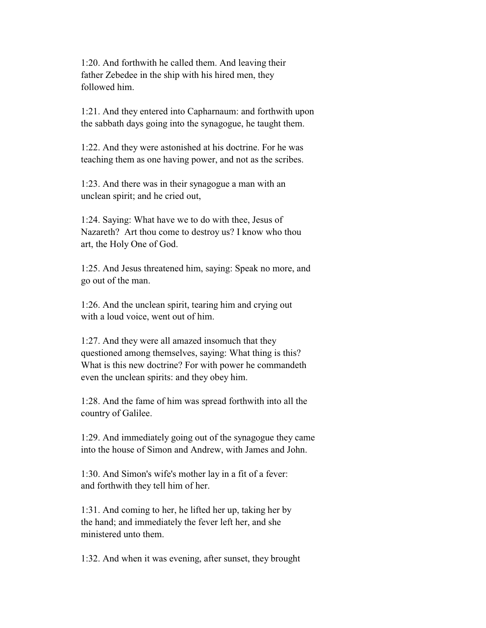1:20. And forthwith he called them. And leaving their father Zebedee in the ship with his hired men, they followed him.

 1:21. And they entered into Capharnaum: and forthwith upon the sabbath days going into the synagogue, he taught them.

 1:22. And they were astonished at his doctrine. For he was teaching them as one having power, and not as the scribes.

 1:23. And there was in their synagogue a man with an unclean spirit; and he cried out,

 1:24. Saying: What have we to do with thee, Jesus of Nazareth? Art thou come to destroy us? I know who thou art, the Holy One of God.

 1:25. And Jesus threatened him, saying: Speak no more, and go out of the man.

 1:26. And the unclean spirit, tearing him and crying out with a loud voice, went out of him.

 1:27. And they were all amazed insomuch that they questioned among themselves, saying: What thing is this? What is this new doctrine? For with power he commandeth even the unclean spirits: and they obey him.

 1:28. And the fame of him was spread forthwith into all the country of Galilee.

 1:29. And immediately going out of the synagogue they came into the house of Simon and Andrew, with James and John.

 1:30. And Simon's wife's mother lay in a fit of a fever: and forthwith they tell him of her.

 1:31. And coming to her, he lifted her up, taking her by the hand; and immediately the fever left her, and she ministered unto them.

1:32. And when it was evening, after sunset, they brought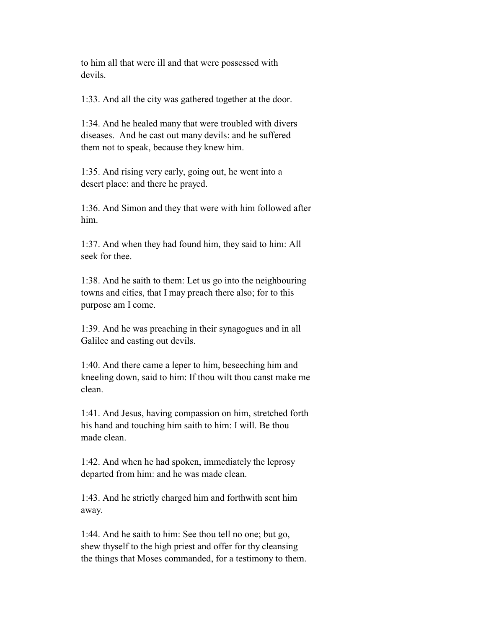to him all that were ill and that were possessed with devils.

1:33. And all the city was gathered together at the door.

 1:34. And he healed many that were troubled with divers diseases. And he cast out many devils: and he suffered them not to speak, because they knew him.

 1:35. And rising very early, going out, he went into a desert place: and there he prayed.

 1:36. And Simon and they that were with him followed after him.

 1:37. And when they had found him, they said to him: All seek for thee.

 1:38. And he saith to them: Let us go into the neighbouring towns and cities, that I may preach there also; for to this purpose am I come.

 1:39. And he was preaching in their synagogues and in all Galilee and casting out devils.

 1:40. And there came a leper to him, beseeching him and kneeling down, said to him: If thou wilt thou canst make me clean.

 1:41. And Jesus, having compassion on him, stretched forth his hand and touching him saith to him: I will. Be thou made clean.

 1:42. And when he had spoken, immediately the leprosy departed from him: and he was made clean.

 1:43. And he strictly charged him and forthwith sent him away.

 1:44. And he saith to him: See thou tell no one; but go, shew thyself to the high priest and offer for thy cleansing the things that Moses commanded, for a testimony to them.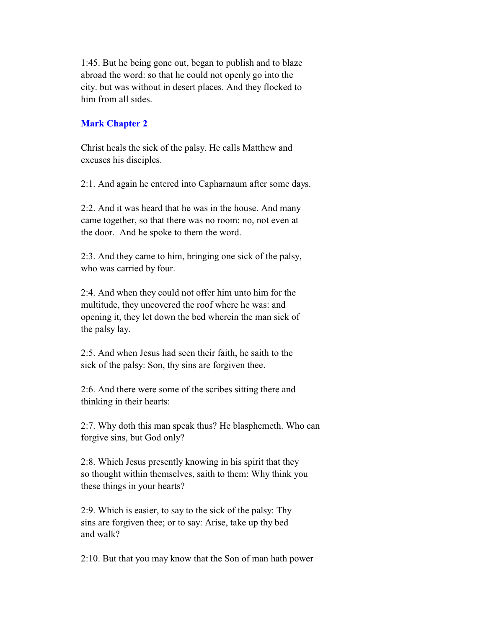1:45. But he being gone out, began to publish and to blaze abroad the word: so that he could not openly go into the city. but was without in desert places. And they flocked to him from all sides.

#### **Mark Chapter 2**

 Christ heals the sick of the palsy. He calls Matthew and excuses his disciples.

2:1. And again he entered into Capharnaum after some days.

 2:2. And it was heard that he was in the house. And many came together, so that there was no room: no, not even at the door. And he spoke to them the word.

 2:3. And they came to him, bringing one sick of the palsy, who was carried by four.

 2:4. And when they could not offer him unto him for the multitude, they uncovered the roof where he was: and opening it, they let down the bed wherein the man sick of the palsy lay.

 2:5. And when Jesus had seen their faith, he saith to the sick of the palsy: Son, thy sins are forgiven thee.

 2:6. And there were some of the scribes sitting there and thinking in their hearts:

 2:7. Why doth this man speak thus? He blasphemeth. Who can forgive sins, but God only?

 2:8. Which Jesus presently knowing in his spirit that they so thought within themselves, saith to them: Why think you these things in your hearts?

 2:9. Which is easier, to say to the sick of the palsy: Thy sins are forgiven thee; or to say: Arise, take up thy bed and walk?

2:10. But that you may know that the Son of man hath power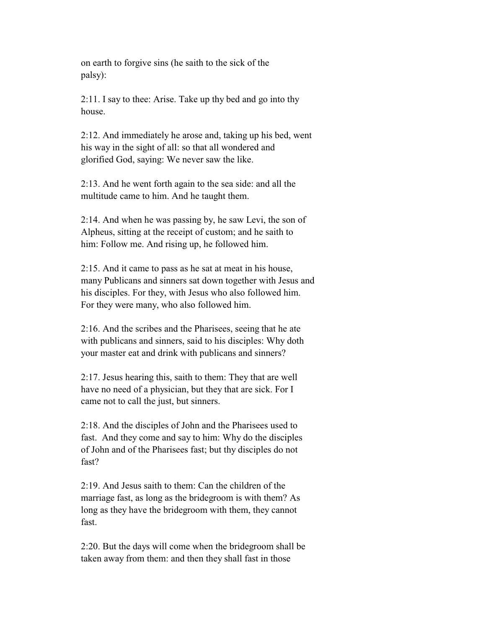on earth to forgive sins (he saith to the sick of the palsy):

 2:11. I say to thee: Arise. Take up thy bed and go into thy house.

 2:12. And immediately he arose and, taking up his bed, went his way in the sight of all: so that all wondered and glorified God, saying: We never saw the like.

 2:13. And he went forth again to the sea side: and all the multitude came to him. And he taught them.

 2:14. And when he was passing by, he saw Levi, the son of Alpheus, sitting at the receipt of custom; and he saith to him: Follow me. And rising up, he followed him.

 2:15. And it came to pass as he sat at meat in his house, many Publicans and sinners sat down together with Jesus and his disciples. For they, with Jesus who also followed him. For they were many, who also followed him.

 2:16. And the scribes and the Pharisees, seeing that he ate with publicans and sinners, said to his disciples: Why doth your master eat and drink with publicans and sinners?

 2:17. Jesus hearing this, saith to them: They that are well have no need of a physician, but they that are sick. For I came not to call the just, but sinners.

 2:18. And the disciples of John and the Pharisees used to fast. And they come and say to him: Why do the disciples of John and of the Pharisees fast; but thy disciples do not fast?

 2:19. And Jesus saith to them: Can the children of the marriage fast, as long as the bridegroom is with them? As long as they have the bridegroom with them, they cannot fast.

 2:20. But the days will come when the bridegroom shall be taken away from them: and then they shall fast in those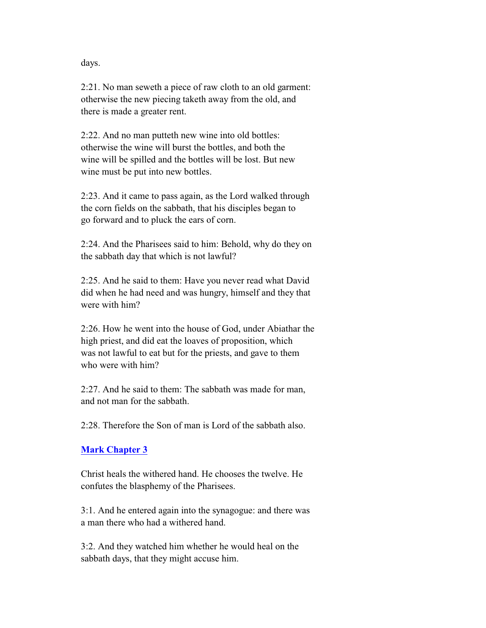days.

 2:21. No man seweth a piece of raw cloth to an old garment: otherwise the new piecing taketh away from the old, and there is made a greater rent.

 2:22. And no man putteth new wine into old bottles: otherwise the wine will burst the bottles, and both the wine will be spilled and the bottles will be lost. But new wine must be put into new bottles.

 2:23. And it came to pass again, as the Lord walked through the corn fields on the sabbath, that his disciples began to go forward and to pluck the ears of corn.

 2:24. And the Pharisees said to him: Behold, why do they on the sabbath day that which is not lawful?

 2:25. And he said to them: Have you never read what David did when he had need and was hungry, himself and they that were with him?

 2:26. How he went into the house of God, under Abiathar the high priest, and did eat the loaves of proposition, which was not lawful to eat but for the priests, and gave to them who were with him?

 2:27. And he said to them: The sabbath was made for man, and not man for the sabbath.

2:28. Therefore the Son of man is Lord of the sabbath also.

## **Mark Chapter 3**

 Christ heals the withered hand. He chooses the twelve. He confutes the blasphemy of the Pharisees.

 3:1. And he entered again into the synagogue: and there was a man there who had a withered hand.

 3:2. And they watched him whether he would heal on the sabbath days, that they might accuse him.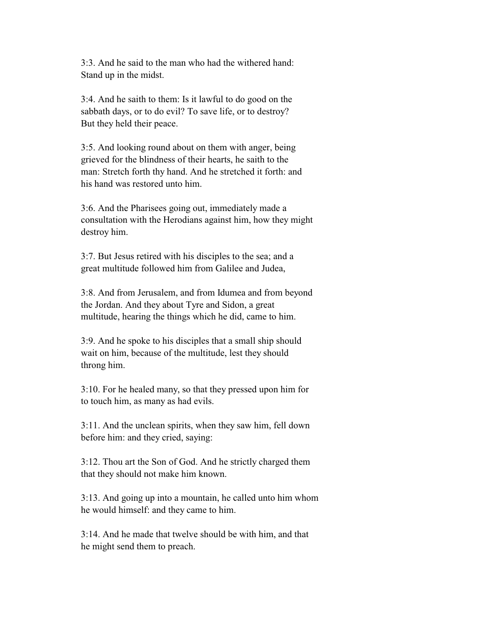3:3. And he said to the man who had the withered hand: Stand up in the midst.

 3:4. And he saith to them: Is it lawful to do good on the sabbath days, or to do evil? To save life, or to destroy? But they held their peace.

 3:5. And looking round about on them with anger, being grieved for the blindness of their hearts, he saith to the man: Stretch forth thy hand. And he stretched it forth: and his hand was restored unto him.

 3:6. And the Pharisees going out, immediately made a consultation with the Herodians against him, how they might destroy him.

 3:7. But Jesus retired with his disciples to the sea; and a great multitude followed him from Galilee and Judea,

 3:8. And from Jerusalem, and from Idumea and from beyond the Jordan. And they about Tyre and Sidon, a great multitude, hearing the things which he did, came to him.

 3:9. And he spoke to his disciples that a small ship should wait on him, because of the multitude, lest they should throng him.

 3:10. For he healed many, so that they pressed upon him for to touch him, as many as had evils.

 3:11. And the unclean spirits, when they saw him, fell down before him: and they cried, saying:

 3:12. Thou art the Son of God. And he strictly charged them that they should not make him known.

 3:13. And going up into a mountain, he called unto him whom he would himself: and they came to him.

 3:14. And he made that twelve should be with him, and that he might send them to preach.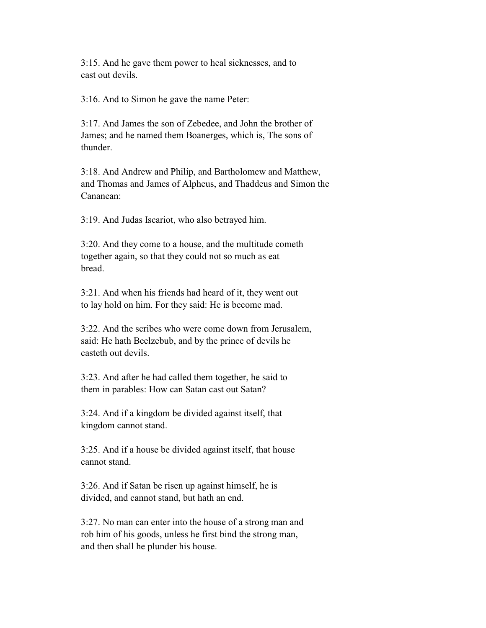3:15. And he gave them power to heal sicknesses, and to cast out devils.

3:16. And to Simon he gave the name Peter:

 3:17. And James the son of Zebedee, and John the brother of James; and he named them Boanerges, which is, The sons of thunder.

 3:18. And Andrew and Philip, and Bartholomew and Matthew, and Thomas and James of Alpheus, and Thaddeus and Simon the Cananean:

3:19. And Judas Iscariot, who also betrayed him.

 3:20. And they come to a house, and the multitude cometh together again, so that they could not so much as eat bread.

 3:21. And when his friends had heard of it, they went out to lay hold on him. For they said: He is become mad.

 3:22. And the scribes who were come down from Jerusalem, said: He hath Beelzebub, and by the prince of devils he casteth out devils.

 3:23. And after he had called them together, he said to them in parables: How can Satan cast out Satan?

 3:24. And if a kingdom be divided against itself, that kingdom cannot stand.

 3:25. And if a house be divided against itself, that house cannot stand.

 3:26. And if Satan be risen up against himself, he is divided, and cannot stand, but hath an end.

 3:27. No man can enter into the house of a strong man and rob him of his goods, unless he first bind the strong man, and then shall he plunder his house.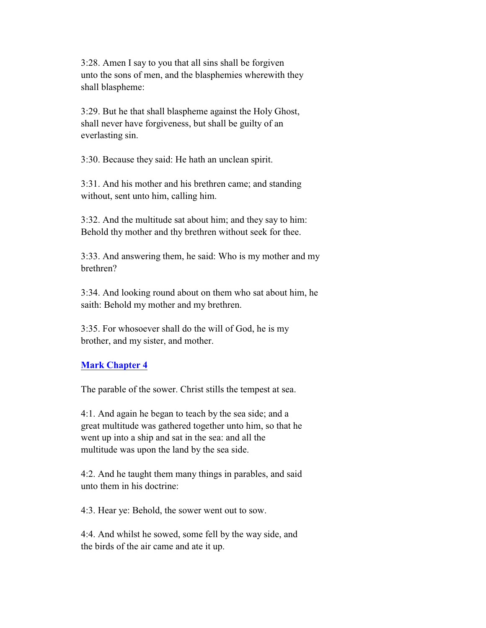3:28. Amen I say to you that all sins shall be forgiven unto the sons of men, and the blasphemies wherewith they shall blaspheme:

 3:29. But he that shall blaspheme against the Holy Ghost, shall never have forgiveness, but shall be guilty of an everlasting sin.

3:30. Because they said: He hath an unclean spirit.

 3:31. And his mother and his brethren came; and standing without, sent unto him, calling him.

 3:32. And the multitude sat about him; and they say to him: Behold thy mother and thy brethren without seek for thee.

 3:33. And answering them, he said: Who is my mother and my brethren?

 3:34. And looking round about on them who sat about him, he saith: Behold my mother and my brethren.

 3:35. For whosoever shall do the will of God, he is my brother, and my sister, and mother.

#### **Mark Chapter 4**

The parable of the sower. Christ stills the tempest at sea.

 4:1. And again he began to teach by the sea side; and a great multitude was gathered together unto him, so that he went up into a ship and sat in the sea: and all the multitude was upon the land by the sea side.

 4:2. And he taught them many things in parables, and said unto them in his doctrine:

4:3. Hear ye: Behold, the sower went out to sow.

 4:4. And whilst he sowed, some fell by the way side, and the birds of the air came and ate it up.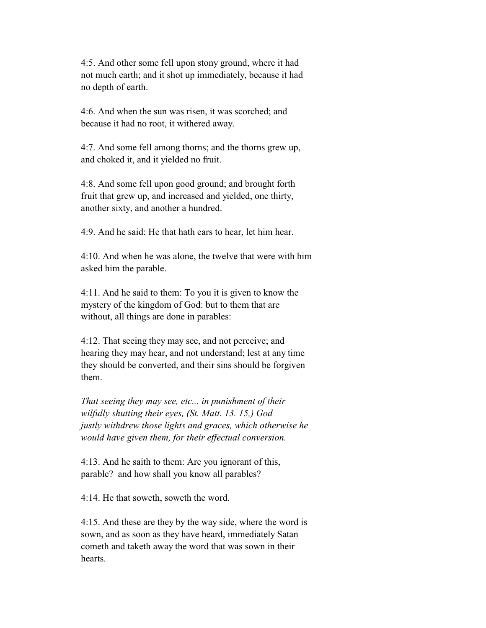4:5. And other some fell upon stony ground, where it had not much earth; and it shot up immediately, because it had no depth of earth.

 4:6. And when the sun was risen, it was scorched; and because it had no root, it withered away.

 4:7. And some fell among thorns; and the thorns grew up, and choked it, and it yielded no fruit.

 4:8. And some fell upon good ground; and brought forth fruit that grew up, and increased and yielded, one thirty, another sixty, and another a hundred.

4:9. And he said: He that hath ears to hear, let him hear.

 4:10. And when he was alone, the twelve that were with him asked him the parable.

 4:11. And he said to them: To you it is given to know the mystery of the kingdom of God: but to them that are without, all things are done in parables:

 4:12. That seeing they may see, and not perceive; and hearing they may hear, and not understand; lest at any time they should be converted, and their sins should be forgiven them.

 *That seeing they may see, etc... in punishment of their wilfully shutting their eyes, (St. Matt. 13. 15,) God justly withdrew those lights and graces, which otherwise he would have given them, for their effectual conversion.*

 4:13. And he saith to them: Are you ignorant of this, parable? and how shall you know all parables?

4:14. He that soweth, soweth the word.

 4:15. And these are they by the way side, where the word is sown, and as soon as they have heard, immediately Satan cometh and taketh away the word that was sown in their hearts.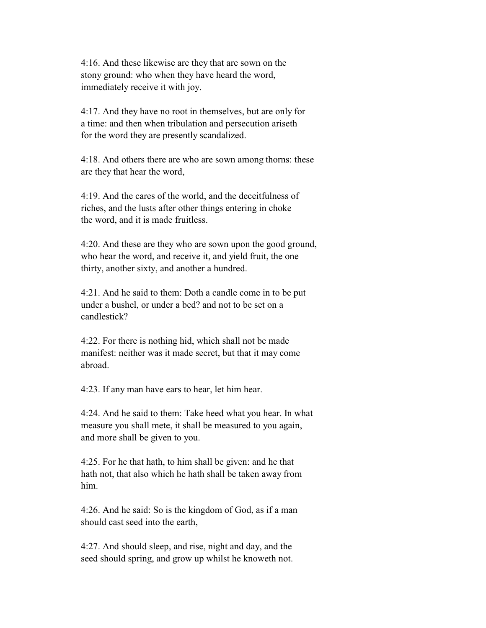4:16. And these likewise are they that are sown on the stony ground: who when they have heard the word, immediately receive it with joy.

 4:17. And they have no root in themselves, but are only for a time: and then when tribulation and persecution ariseth for the word they are presently scandalized.

 4:18. And others there are who are sown among thorns: these are they that hear the word,

 4:19. And the cares of the world, and the deceitfulness of riches, and the lusts after other things entering in choke the word, and it is made fruitless.

 4:20. And these are they who are sown upon the good ground, who hear the word, and receive it, and yield fruit, the one thirty, another sixty, and another a hundred.

 4:21. And he said to them: Doth a candle come in to be put under a bushel, or under a bed? and not to be set on a candlestick?

 4:22. For there is nothing hid, which shall not be made manifest: neither was it made secret, but that it may come abroad.

4:23. If any man have ears to hear, let him hear.

 4:24. And he said to them: Take heed what you hear. In what measure you shall mete, it shall be measured to you again, and more shall be given to you.

 4:25. For he that hath, to him shall be given: and he that hath not, that also which he hath shall be taken away from him.

 4:26. And he said: So is the kingdom of God, as if a man should cast seed into the earth,

 4:27. And should sleep, and rise, night and day, and the seed should spring, and grow up whilst he knoweth not.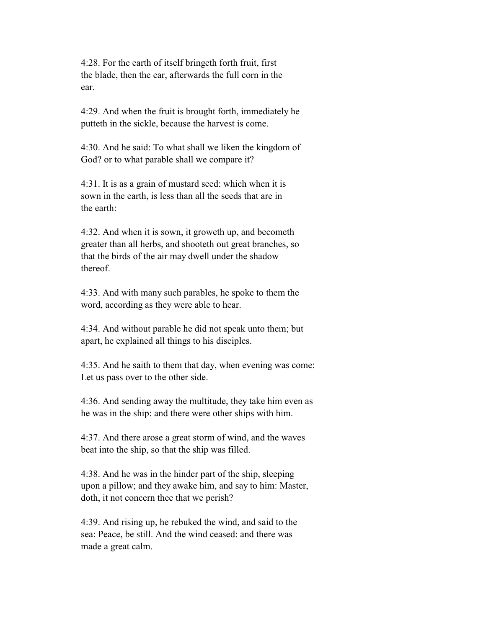4:28. For the earth of itself bringeth forth fruit, first the blade, then the ear, afterwards the full corn in the ear.

 4:29. And when the fruit is brought forth, immediately he putteth in the sickle, because the harvest is come.

 4:30. And he said: To what shall we liken the kingdom of God? or to what parable shall we compare it?

 4:31. It is as a grain of mustard seed: which when it is sown in the earth, is less than all the seeds that are in the earth:

 4:32. And when it is sown, it groweth up, and becometh greater than all herbs, and shooteth out great branches, so that the birds of the air may dwell under the shadow thereof.

 4:33. And with many such parables, he spoke to them the word, according as they were able to hear.

 4:34. And without parable he did not speak unto them; but apart, he explained all things to his disciples.

 4:35. And he saith to them that day, when evening was come: Let us pass over to the other side.

 4:36. And sending away the multitude, they take him even as he was in the ship: and there were other ships with him.

 4:37. And there arose a great storm of wind, and the waves beat into the ship, so that the ship was filled.

 4:38. And he was in the hinder part of the ship, sleeping upon a pillow; and they awake him, and say to him: Master, doth, it not concern thee that we perish?

 4:39. And rising up, he rebuked the wind, and said to the sea: Peace, be still. And the wind ceased: and there was made a great calm.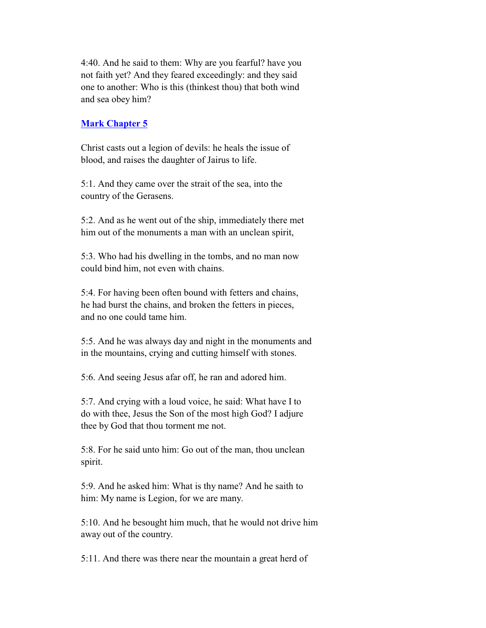4:40. And he said to them: Why are you fearful? have you not faith yet? And they feared exceedingly: and they said one to another: Who is this (thinkest thou) that both wind and sea obey him?

#### **Mark Chapter 5**

 Christ casts out a legion of devils: he heals the issue of blood, and raises the daughter of Jairus to life.

 5:1. And they came over the strait of the sea, into the country of the Gerasens.

 5:2. And as he went out of the ship, immediately there met him out of the monuments a man with an unclean spirit,

 5:3. Who had his dwelling in the tombs, and no man now could bind him, not even with chains.

 5:4. For having been often bound with fetters and chains, he had burst the chains, and broken the fetters in pieces, and no one could tame him.

 5:5. And he was always day and night in the monuments and in the mountains, crying and cutting himself with stones.

5:6. And seeing Jesus afar off, he ran and adored him.

 5:7. And crying with a loud voice, he said: What have I to do with thee, Jesus the Son of the most high God? I adjure thee by God that thou torment me not.

 5:8. For he said unto him: Go out of the man, thou unclean spirit.

 5:9. And he asked him: What is thy name? And he saith to him: My name is Legion, for we are many.

 5:10. And he besought him much, that he would not drive him away out of the country.

5:11. And there was there near the mountain a great herd of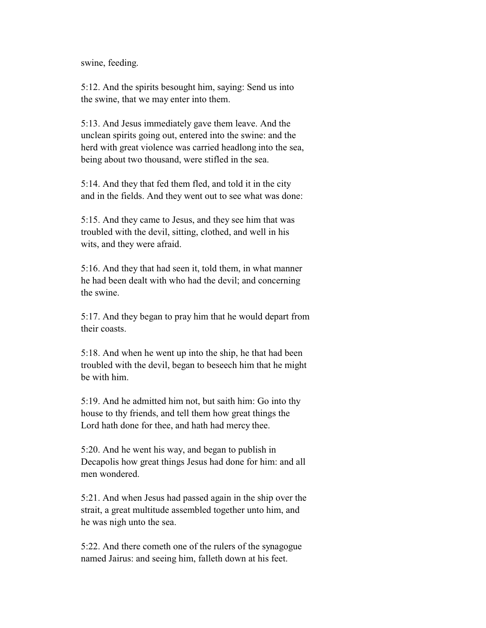swine, feeding.

 5:12. And the spirits besought him, saying: Send us into the swine, that we may enter into them.

 5:13. And Jesus immediately gave them leave. And the unclean spirits going out, entered into the swine: and the herd with great violence was carried headlong into the sea, being about two thousand, were stifled in the sea.

 5:14. And they that fed them fled, and told it in the city and in the fields. And they went out to see what was done:

 5:15. And they came to Jesus, and they see him that was troubled with the devil, sitting, clothed, and well in his wits, and they were afraid.

 5:16. And they that had seen it, told them, in what manner he had been dealt with who had the devil; and concerning the swine.

 5:17. And they began to pray him that he would depart from their coasts.

 5:18. And when he went up into the ship, he that had been troubled with the devil, began to beseech him that he might be with him.

 5:19. And he admitted him not, but saith him: Go into thy house to thy friends, and tell them how great things the Lord hath done for thee, and hath had mercy thee.

 5:20. And he went his way, and began to publish in Decapolis how great things Jesus had done for him: and all men wondered.

 5:21. And when Jesus had passed again in the ship over the strait, a great multitude assembled together unto him, and he was nigh unto the sea.

 5:22. And there cometh one of the rulers of the synagogue named Jairus: and seeing him, falleth down at his feet.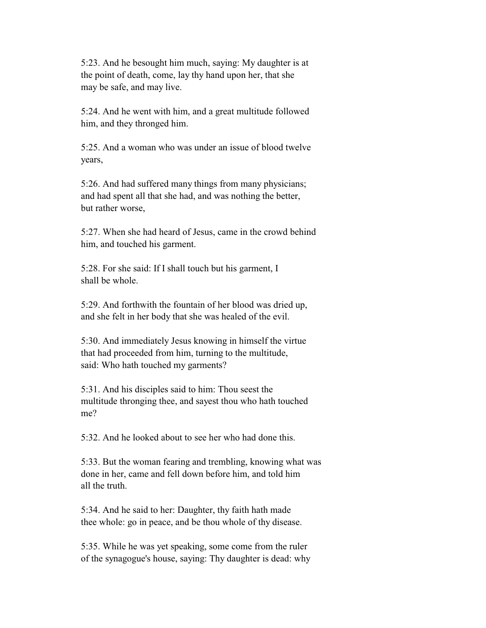5:23. And he besought him much, saying: My daughter is at the point of death, come, lay thy hand upon her, that she may be safe, and may live.

 5:24. And he went with him, and a great multitude followed him, and they thronged him.

 5:25. And a woman who was under an issue of blood twelve years,

 5:26. And had suffered many things from many physicians; and had spent all that she had, and was nothing the better, but rather worse,

 5:27. When she had heard of Jesus, came in the crowd behind him, and touched his garment.

 5:28. For she said: If I shall touch but his garment, I shall be whole.

 5:29. And forthwith the fountain of her blood was dried up, and she felt in her body that she was healed of the evil.

 5:30. And immediately Jesus knowing in himself the virtue that had proceeded from him, turning to the multitude, said: Who hath touched my garments?

 5:31. And his disciples said to him: Thou seest the multitude thronging thee, and sayest thou who hath touched me?

5:32. And he looked about to see her who had done this.

 5:33. But the woman fearing and trembling, knowing what was done in her, came and fell down before him, and told him all the truth.

 5:34. And he said to her: Daughter, thy faith hath made thee whole: go in peace, and be thou whole of thy disease.

 5:35. While he was yet speaking, some come from the ruler of the synagogue's house, saying: Thy daughter is dead: why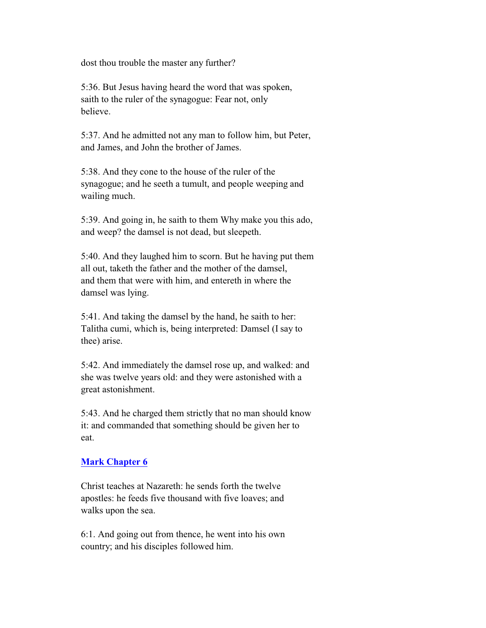dost thou trouble the master any further?

 5:36. But Jesus having heard the word that was spoken, saith to the ruler of the synagogue: Fear not, only believe.

 5:37. And he admitted not any man to follow him, but Peter, and James, and John the brother of James.

 5:38. And they cone to the house of the ruler of the synagogue; and he seeth a tumult, and people weeping and wailing much.

 5:39. And going in, he saith to them Why make you this ado, and weep? the damsel is not dead, but sleepeth.

 5:40. And they laughed him to scorn. But he having put them all out, taketh the father and the mother of the damsel, and them that were with him, and entereth in where the damsel was lying.

 5:41. And taking the damsel by the hand, he saith to her: Talitha cumi, which is, being interpreted: Damsel (I say to thee) arise.

 5:42. And immediately the damsel rose up, and walked: and she was twelve years old: and they were astonished with a great astonishment.

 5:43. And he charged them strictly that no man should know it: and commanded that something should be given her to eat.

## **Mark Chapter 6**

 Christ teaches at Nazareth: he sends forth the twelve apostles: he feeds five thousand with five loaves; and walks upon the sea.

 6:1. And going out from thence, he went into his own country; and his disciples followed him.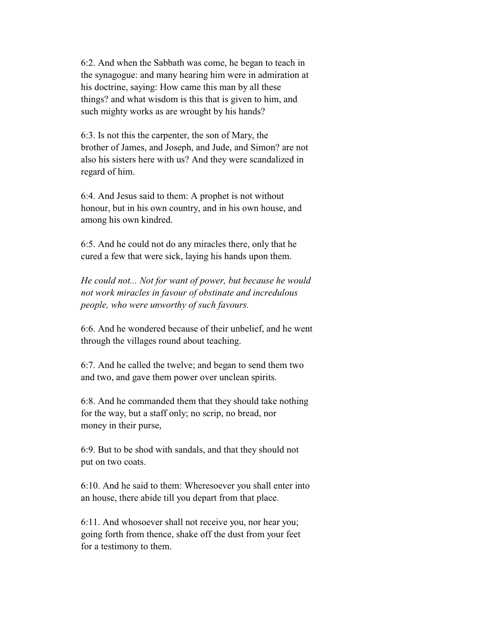6:2. And when the Sabbath was come, he began to teach in the synagogue: and many hearing him were in admiration at his doctrine, saying: How came this man by all these things? and what wisdom is this that is given to him, and such mighty works as are wrought by his hands?

 6:3. Is not this the carpenter, the son of Mary, the brother of James, and Joseph, and Jude, and Simon? are not also his sisters here with us? And they were scandalized in regard of him.

 6:4. And Jesus said to them: A prophet is not without honour, but in his own country, and in his own house, and among his own kindred.

 6:5. And he could not do any miracles there, only that he cured a few that were sick, laying his hands upon them.

 *He could not... Not for want of power, but because he would not work miracles in favour of obstinate and incredulous people, who were unworthy of such favours.*

 6:6. And he wondered because of their unbelief, and he went through the villages round about teaching.

 6:7. And he called the twelve; and began to send them two and two, and gave them power over unclean spirits.

 6:8. And he commanded them that they should take nothing for the way, but a staff only; no scrip, no bread, nor money in their purse,

 6:9. But to be shod with sandals, and that they should not put on two coats.

 6:10. And he said to them: Wheresoever you shall enter into an house, there abide till you depart from that place.

 6:11. And whosoever shall not receive you, nor hear you; going forth from thence, shake off the dust from your feet for a testimony to them.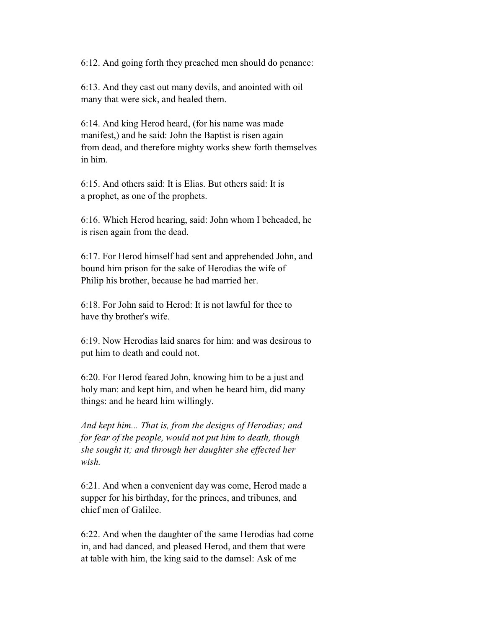6:12. And going forth they preached men should do penance:

 6:13. And they cast out many devils, and anointed with oil many that were sick, and healed them.

 6:14. And king Herod heard, (for his name was made manifest,) and he said: John the Baptist is risen again from dead, and therefore mighty works shew forth themselves in him.

 6:15. And others said: It is Elias. But others said: It is a prophet, as one of the prophets.

 6:16. Which Herod hearing, said: John whom I beheaded, he is risen again from the dead.

 6:17. For Herod himself had sent and apprehended John, and bound him prison for the sake of Herodias the wife of Philip his brother, because he had married her.

 6:18. For John said to Herod: It is not lawful for thee to have thy brother's wife.

 6:19. Now Herodias laid snares for him: and was desirous to put him to death and could not.

 6:20. For Herod feared John, knowing him to be a just and holy man: and kept him, and when he heard him, did many things: and he heard him willingly.

 *And kept him... That is, from the designs of Herodias; and for fear of the people, would not put him to death, though she sought it; and through her daughter she effected her wish.*

 6:21. And when a convenient day was come, Herod made a supper for his birthday, for the princes, and tribunes, and chief men of Galilee.

 6:22. And when the daughter of the same Herodias had come in, and had danced, and pleased Herod, and them that were at table with him, the king said to the damsel: Ask of me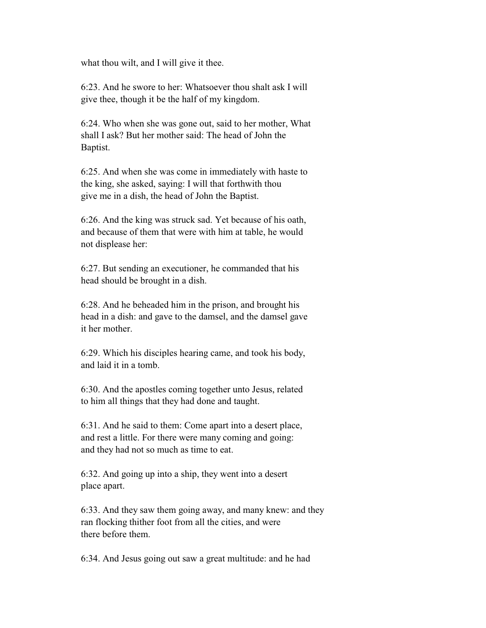what thou wilt, and I will give it thee.

 6:23. And he swore to her: Whatsoever thou shalt ask I will give thee, though it be the half of my kingdom.

 6:24. Who when she was gone out, said to her mother, What shall I ask? But her mother said: The head of John the Baptist.

 6:25. And when she was come in immediately with haste to the king, she asked, saying: I will that forthwith thou give me in a dish, the head of John the Baptist.

 6:26. And the king was struck sad. Yet because of his oath, and because of them that were with him at table, he would not displease her:

 6:27. But sending an executioner, he commanded that his head should be brought in a dish.

 6:28. And he beheaded him in the prison, and brought his head in a dish: and gave to the damsel, and the damsel gave it her mother.

 6:29. Which his disciples hearing came, and took his body, and laid it in a tomb.

 6:30. And the apostles coming together unto Jesus, related to him all things that they had done and taught.

 6:31. And he said to them: Come apart into a desert place, and rest a little. For there were many coming and going: and they had not so much as time to eat.

 6:32. And going up into a ship, they went into a desert place apart.

 6:33. And they saw them going away, and many knew: and they ran flocking thither foot from all the cities, and were there before them.

6:34. And Jesus going out saw a great multitude: and he had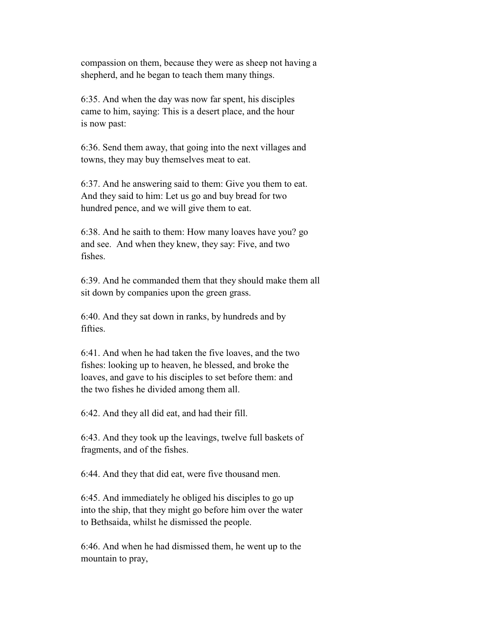compassion on them, because they were as sheep not having a shepherd, and he began to teach them many things.

 6:35. And when the day was now far spent, his disciples came to him, saying: This is a desert place, and the hour is now past:

 6:36. Send them away, that going into the next villages and towns, they may buy themselves meat to eat.

 6:37. And he answering said to them: Give you them to eat. And they said to him: Let us go and buy bread for two hundred pence, and we will give them to eat.

 6:38. And he saith to them: How many loaves have you? go and see. And when they knew, they say: Five, and two fishes.

 6:39. And he commanded them that they should make them all sit down by companies upon the green grass.

 6:40. And they sat down in ranks, by hundreds and by fifties.

 6:41. And when he had taken the five loaves, and the two fishes: looking up to heaven, he blessed, and broke the loaves, and gave to his disciples to set before them: and the two fishes he divided among them all.

6:42. And they all did eat, and had their fill.

 6:43. And they took up the leavings, twelve full baskets of fragments, and of the fishes.

6:44. And they that did eat, were five thousand men.

 6:45. And immediately he obliged his disciples to go up into the ship, that they might go before him over the water to Bethsaida, whilst he dismissed the people.

 6:46. And when he had dismissed them, he went up to the mountain to pray,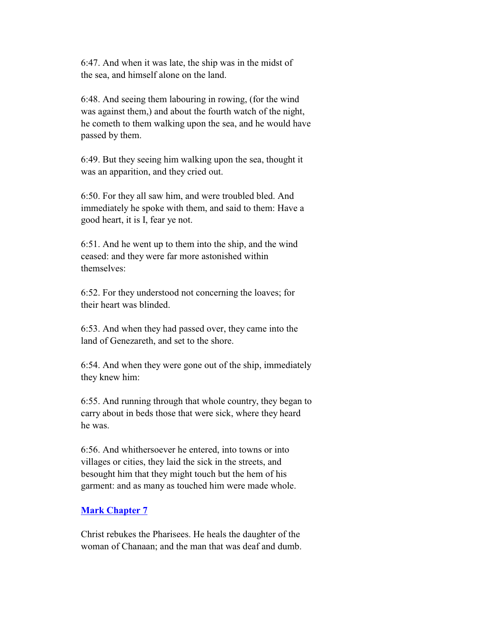6:47. And when it was late, the ship was in the midst of the sea, and himself alone on the land.

 6:48. And seeing them labouring in rowing, (for the wind was against them,) and about the fourth watch of the night, he cometh to them walking upon the sea, and he would have passed by them.

 6:49. But they seeing him walking upon the sea, thought it was an apparition, and they cried out.

 6:50. For they all saw him, and were troubled bled. And immediately he spoke with them, and said to them: Have a good heart, it is I, fear ye not.

 6:51. And he went up to them into the ship, and the wind ceased: and they were far more astonished within themselves:

 6:52. For they understood not concerning the loaves; for their heart was blinded.

 6:53. And when they had passed over, they came into the land of Genezareth, and set to the shore.

 6:54. And when they were gone out of the ship, immediately they knew him:

 6:55. And running through that whole country, they began to carry about in beds those that were sick, where they heard he was.

 6:56. And whithersoever he entered, into towns or into villages or cities, they laid the sick in the streets, and besought him that they might touch but the hem of his garment: and as many as touched him were made whole.

## **Mark Chapter 7**

 Christ rebukes the Pharisees. He heals the daughter of the woman of Chanaan; and the man that was deaf and dumb.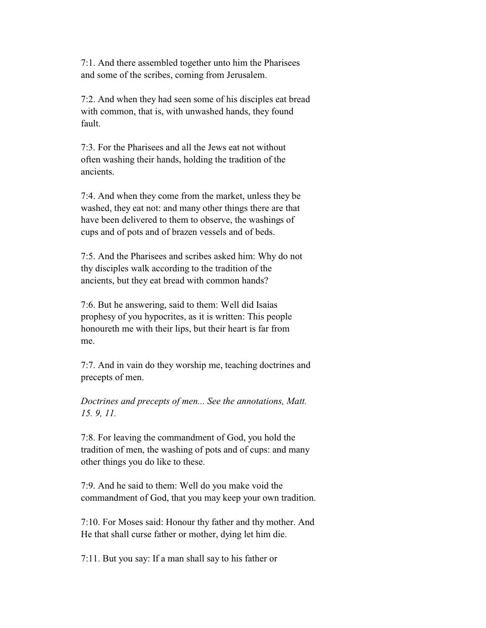7:1. And there assembled together unto him the Pharisees and some of the scribes, coming from Jerusalem.

 7:2. And when they had seen some of his disciples eat bread with common, that is, with unwashed hands, they found fault.

 7:3. For the Pharisees and all the Jews eat not without often washing their hands, holding the tradition of the ancients.

 7:4. And when they come from the market, unless they be washed, they eat not: and many other things there are that have been delivered to them to observe, the washings of cups and of pots and of brazen vessels and of beds.

 7:5. And the Pharisees and scribes asked him: Why do not thy disciples walk according to the tradition of the ancients, but they eat bread with common hands?

 7:6. But he answering, said to them: Well did Isaias prophesy of you hypocrites, as it is written: This people honoureth me with their lips, but their heart is far from me.

 7:7. And in vain do they worship me, teaching doctrines and precepts of men.

 *Doctrines and precepts of men... See the annotations, Matt. 15. 9, 11.*

 7:8. For leaving the commandment of God, you hold the tradition of men, the washing of pots and of cups: and many other things you do like to these.

 7:9. And he said to them: Well do you make void the commandment of God, that you may keep your own tradition.

 7:10. For Moses said: Honour thy father and thy mother. And He that shall curse father or mother, dying let him die.

7:11. But you say: If a man shall say to his father or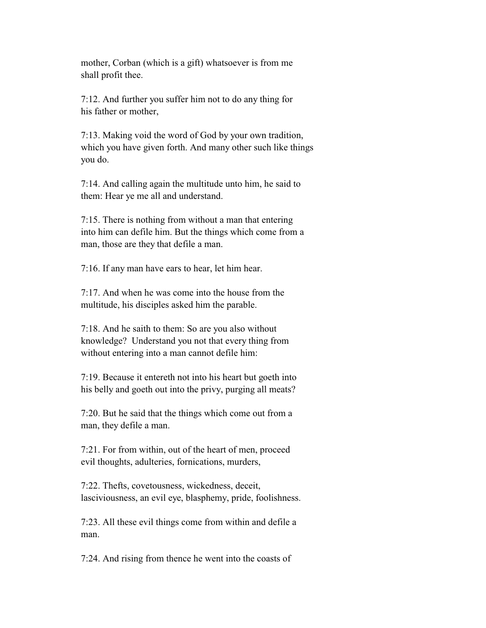mother, Corban (which is a gift) whatsoever is from me shall profit thee.

 7:12. And further you suffer him not to do any thing for his father or mother,

 7:13. Making void the word of God by your own tradition, which you have given forth. And many other such like things you do.

 7:14. And calling again the multitude unto him, he said to them: Hear ye me all and understand.

 7:15. There is nothing from without a man that entering into him can defile him. But the things which come from a man, those are they that defile a man.

7:16. If any man have ears to hear, let him hear.

 7:17. And when he was come into the house from the multitude, his disciples asked him the parable.

 7:18. And he saith to them: So are you also without knowledge? Understand you not that every thing from without entering into a man cannot defile him:

 7:19. Because it entereth not into his heart but goeth into his belly and goeth out into the privy, purging all meats?

 7:20. But he said that the things which come out from a man, they defile a man.

 7:21. For from within, out of the heart of men, proceed evil thoughts, adulteries, fornications, murders,

 7:22. Thefts, covetousness, wickedness, deceit, lasciviousness, an evil eye, blasphemy, pride, foolishness.

 7:23. All these evil things come from within and defile a man.

7:24. And rising from thence he went into the coasts of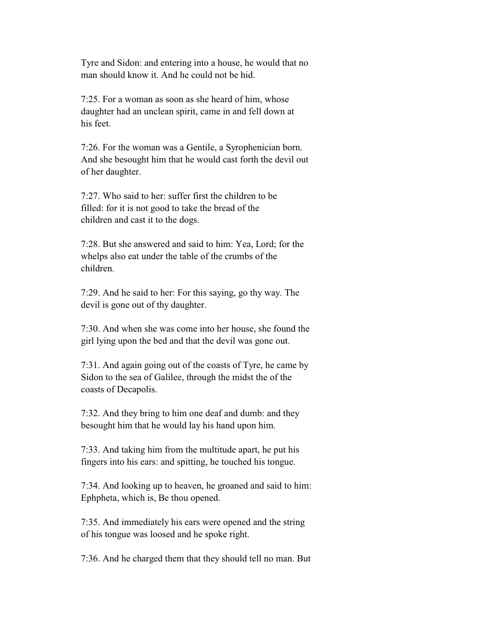Tyre and Sidon: and entering into a house, he would that no man should know it. And he could not be hid.

 7:25. For a woman as soon as she heard of him, whose daughter had an unclean spirit, came in and fell down at his feet.

 7:26. For the woman was a Gentile, a Syrophenician born. And she besought him that he would cast forth the devil out of her daughter.

 7:27. Who said to her: suffer first the children to be filled: for it is not good to take the bread of the children and cast it to the dogs.

 7:28. But she answered and said to him: Yea, Lord; for the whelps also eat under the table of the crumbs of the children.

 7:29. And he said to her: For this saying, go thy way. The devil is gone out of thy daughter.

 7:30. And when she was come into her house, she found the girl lying upon the bed and that the devil was gone out.

 7:31. And again going out of the coasts of Tyre, he came by Sidon to the sea of Galilee, through the midst the of the coasts of Decapolis.

 7:32. And they bring to him one deaf and dumb: and they besought him that he would lay his hand upon him.

 7:33. And taking him from the multitude apart, he put his fingers into his ears: and spitting, he touched his tongue.

 7:34. And looking up to heaven, he groaned and said to him: Ephpheta, which is, Be thou opened.

 7:35. And immediately his ears were opened and the string of his tongue was loosed and he spoke right.

7:36. And he charged them that they should tell no man. But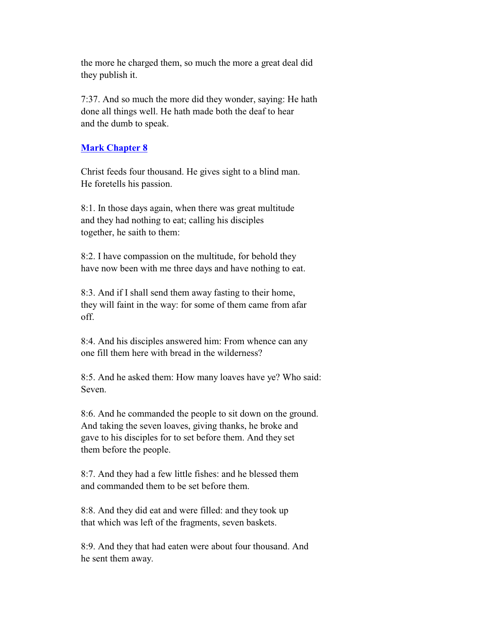the more he charged them, so much the more a great deal did they publish it.

 7:37. And so much the more did they wonder, saying: He hath done all things well. He hath made both the deaf to hear and the dumb to speak.

## **Mark Chapter 8**

 Christ feeds four thousand. He gives sight to a blind man. He foretells his passion.

 8:1. In those days again, when there was great multitude and they had nothing to eat; calling his disciples together, he saith to them:

 8:2. I have compassion on the multitude, for behold they have now been with me three days and have nothing to eat.

 8:3. And if I shall send them away fasting to their home, they will faint in the way: for some of them came from afar off.

 8:4. And his disciples answered him: From whence can any one fill them here with bread in the wilderness?

 8:5. And he asked them: How many loaves have ye? Who said: Seven.

 8:6. And he commanded the people to sit down on the ground. And taking the seven loaves, giving thanks, he broke and gave to his disciples for to set before them. And they set them before the people.

 8:7. And they had a few little fishes: and he blessed them and commanded them to be set before them.

 8:8. And they did eat and were filled: and they took up that which was left of the fragments, seven baskets.

 8:9. And they that had eaten were about four thousand. And he sent them away.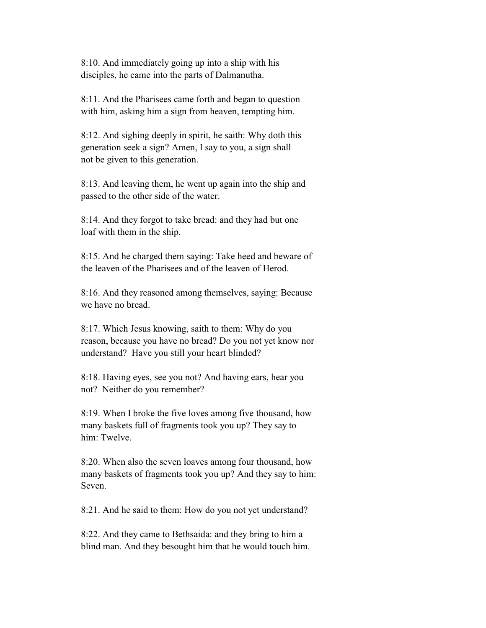8:10. And immediately going up into a ship with his disciples, he came into the parts of Dalmanutha.

 8:11. And the Pharisees came forth and began to question with him, asking him a sign from heaven, tempting him.

 8:12. And sighing deeply in spirit, he saith: Why doth this generation seek a sign? Amen, I say to you, a sign shall not be given to this generation.

 8:13. And leaving them, he went up again into the ship and passed to the other side of the water.

 8:14. And they forgot to take bread: and they had but one loaf with them in the ship.

 8:15. And he charged them saying: Take heed and beware of the leaven of the Pharisees and of the leaven of Herod.

 8:16. And they reasoned among themselves, saying: Because we have no bread.

 8:17. Which Jesus knowing, saith to them: Why do you reason, because you have no bread? Do you not yet know nor understand? Have you still your heart blinded?

 8:18. Having eyes, see you not? And having ears, hear you not? Neither do you remember?

 8:19. When I broke the five loves among five thousand, how many baskets full of fragments took you up? They say to him: Twelve.

 8:20. When also the seven loaves among four thousand, how many baskets of fragments took you up? And they say to him: Seven.

8:21. And he said to them: How do you not yet understand?

 8:22. And they came to Bethsaida: and they bring to him a blind man. And they besought him that he would touch him.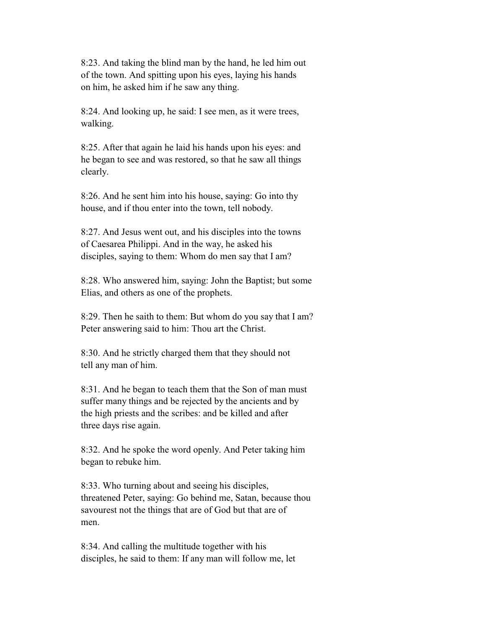8:23. And taking the blind man by the hand, he led him out of the town. And spitting upon his eyes, laying his hands on him, he asked him if he saw any thing.

 8:24. And looking up, he said: I see men, as it were trees, walking.

 8:25. After that again he laid his hands upon his eyes: and he began to see and was restored, so that he saw all things clearly.

 8:26. And he sent him into his house, saying: Go into thy house, and if thou enter into the town, tell nobody.

 8:27. And Jesus went out, and his disciples into the towns of Caesarea Philippi. And in the way, he asked his disciples, saying to them: Whom do men say that I am?

 8:28. Who answered him, saying: John the Baptist; but some Elias, and others as one of the prophets.

 8:29. Then he saith to them: But whom do you say that I am? Peter answering said to him: Thou art the Christ.

 8:30. And he strictly charged them that they should not tell any man of him.

 8:31. And he began to teach them that the Son of man must suffer many things and be rejected by the ancients and by the high priests and the scribes: and be killed and after three days rise again.

 8:32. And he spoke the word openly. And Peter taking him began to rebuke him.

 8:33. Who turning about and seeing his disciples, threatened Peter, saying: Go behind me, Satan, because thou savourest not the things that are of God but that are of men.

 8:34. And calling the multitude together with his disciples, he said to them: If any man will follow me, let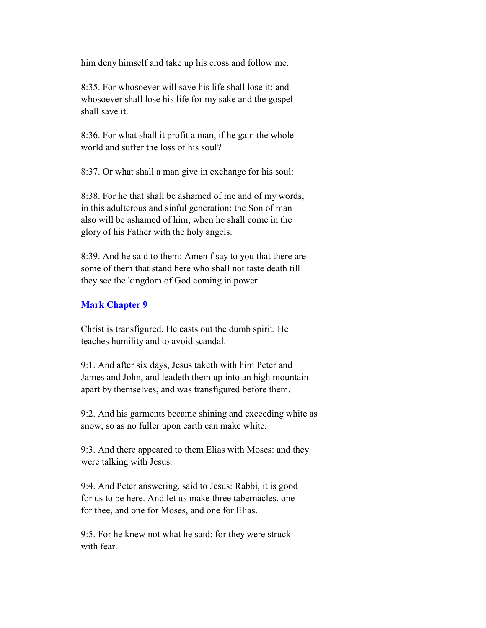him deny himself and take up his cross and follow me.

 8:35. For whosoever will save his life shall lose it: and whosoever shall lose his life for my sake and the gospel shall save it.

 8:36. For what shall it profit a man, if he gain the whole world and suffer the loss of his soul?

8:37. Or what shall a man give in exchange for his soul:

 8:38. For he that shall be ashamed of me and of my words, in this adulterous and sinful generation: the Son of man also will be ashamed of him, when he shall come in the glory of his Father with the holy angels.

 8:39. And he said to them: Amen f say to you that there are some of them that stand here who shall not taste death till they see the kingdom of God coming in power.

## **Mark Chapter 9**

 Christ is transfigured. He casts out the dumb spirit. He teaches humility and to avoid scandal.

 9:1. And after six days, Jesus taketh with him Peter and James and John, and leadeth them up into an high mountain apart by themselves, and was transfigured before them.

 9:2. And his garments became shining and exceeding white as snow, so as no fuller upon earth can make white.

 9:3. And there appeared to them Elias with Moses: and they were talking with Jesus.

 9:4. And Peter answering, said to Jesus: Rabbi, it is good for us to be here. And let us make three tabernacles, one for thee, and one for Moses, and one for Elias.

 9:5. For he knew not what he said: for they were struck with fear.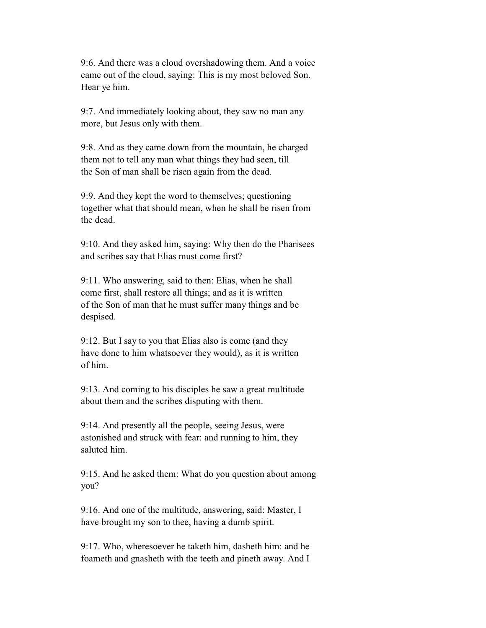9:6. And there was a cloud overshadowing them. And a voice came out of the cloud, saying: This is my most beloved Son. Hear ye him.

 9:7. And immediately looking about, they saw no man any more, but Jesus only with them.

 9:8. And as they came down from the mountain, he charged them not to tell any man what things they had seen, till the Son of man shall be risen again from the dead.

 9:9. And they kept the word to themselves; questioning together what that should mean, when he shall be risen from the dead.

 9:10. And they asked him, saying: Why then do the Pharisees and scribes say that Elias must come first?

 9:11. Who answering, said to then: Elias, when he shall come first, shall restore all things; and as it is written of the Son of man that he must suffer many things and be despised.

 9:12. But I say to you that Elias also is come (and they have done to him whatsoever they would), as it is written of him.

 9:13. And coming to his disciples he saw a great multitude about them and the scribes disputing with them.

 9:14. And presently all the people, seeing Jesus, were astonished and struck with fear: and running to him, they saluted him.

 9:15. And he asked them: What do you question about among you?

 9:16. And one of the multitude, answering, said: Master, I have brought my son to thee, having a dumb spirit.

 9:17. Who, wheresoever he taketh him, dasheth him: and he foameth and gnasheth with the teeth and pineth away. And I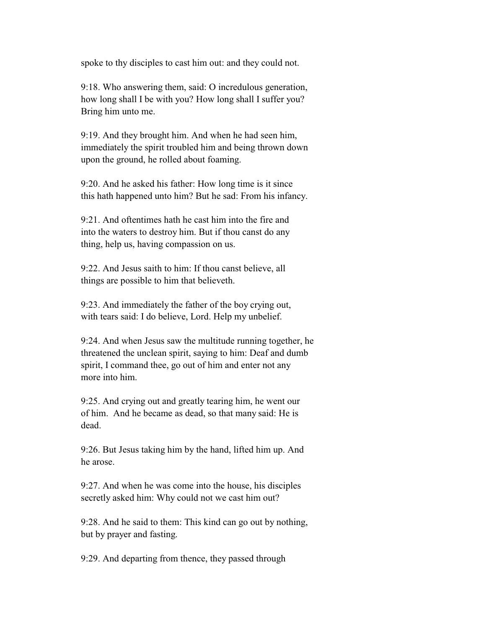spoke to thy disciples to cast him out: and they could not.

 9:18. Who answering them, said: O incredulous generation, how long shall I be with you? How long shall I suffer you? Bring him unto me.

 9:19. And they brought him. And when he had seen him, immediately the spirit troubled him and being thrown down upon the ground, he rolled about foaming.

 9:20. And he asked his father: How long time is it since this hath happened unto him? But he sad: From his infancy.

 9:21. And oftentimes hath he cast him into the fire and into the waters to destroy him. But if thou canst do any thing, help us, having compassion on us.

 9:22. And Jesus saith to him: If thou canst believe, all things are possible to him that believeth.

 9:23. And immediately the father of the boy crying out, with tears said: I do believe, Lord. Help my unbelief.

 9:24. And when Jesus saw the multitude running together, he threatened the unclean spirit, saying to him: Deaf and dumb spirit, I command thee, go out of him and enter not any more into him.

 9:25. And crying out and greatly tearing him, he went our of him. And he became as dead, so that many said: He is dead.

 9:26. But Jesus taking him by the hand, lifted him up. And he arose.

 9:27. And when he was come into the house, his disciples secretly asked him: Why could not we cast him out?

 9:28. And he said to them: This kind can go out by nothing, but by prayer and fasting.

9:29. And departing from thence, they passed through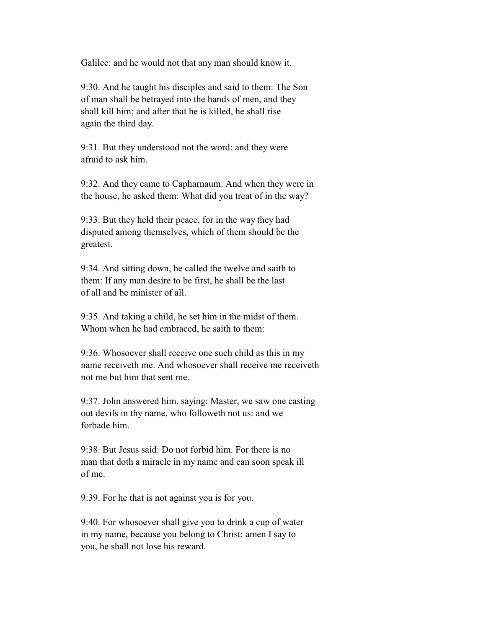Galilee: and he would not that any man should know it.

 9:30. And he taught his disciples and said to them: The Son of man shall be betrayed into the hands of men, and they shall kill him; and after that he is killed, he shall rise again the third day.

 9:31. But they understood not the word: and they were afraid to ask him.

 9:32. And they came to Capharnaum. And when they were in the house, he asked them: What did you treat of in the way?

 9:33. But they held their peace, for in the way they had disputed among themselves, which of them should be the greatest.

 9:34. And sitting down, he called the twelve and saith to them: If any man desire to be first, he shall be the last of all and be minister of all.

 9:35. And taking a child, he set him in the midst of them. Whom when he had embraced, he saith to them:

 9:36. Whosoever shall receive one such child as this in my name receiveth me. And whosoever shall receive me receiveth not me but him that sent me.

 9:37. John answered him, saying: Master, we saw one casting out devils in thy name, who followeth not us: and we forbade him.

 9:38. But Jesus said: Do not forbid him. For there is no man that doth a miracle in my name and can soon speak ill of me.

9:39. For he that is not against you is for you.

 9:40. For whosoever shall give you to drink a cup of water in my name, because you belong to Christ: amen I say to you, he shall not lose his reward.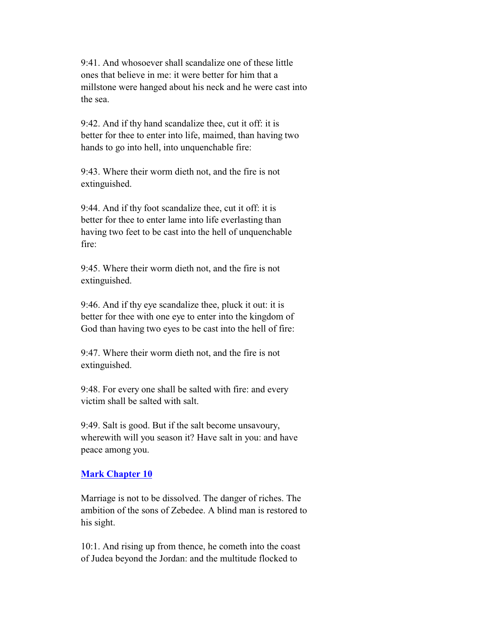9:41. And whosoever shall scandalize one of these little ones that believe in me: it were better for him that a millstone were hanged about his neck and he were cast into the sea.

 9:42. And if thy hand scandalize thee, cut it off: it is better for thee to enter into life, maimed, than having two hands to go into hell, into unquenchable fire:

 9:43. Where their worm dieth not, and the fire is not extinguished.

 9:44. And if thy foot scandalize thee, cut it off: it is better for thee to enter lame into life everlasting than having two feet to be cast into the hell of unquenchable fire:

 9:45. Where their worm dieth not, and the fire is not extinguished.

 9:46. And if thy eye scandalize thee, pluck it out: it is better for thee with one eye to enter into the kingdom of God than having two eyes to be cast into the hell of fire:

 9:47. Where their worm dieth not, and the fire is not extinguished.

 9:48. For every one shall be salted with fire: and every victim shall be salted with salt.

 9:49. Salt is good. But if the salt become unsavoury, wherewith will you season it? Have salt in you: and have peace among you.

## **Mark Chapter 10**

 Marriage is not to be dissolved. The danger of riches. The ambition of the sons of Zebedee. A blind man is restored to his sight.

 10:1. And rising up from thence, he cometh into the coast of Judea beyond the Jordan: and the multitude flocked to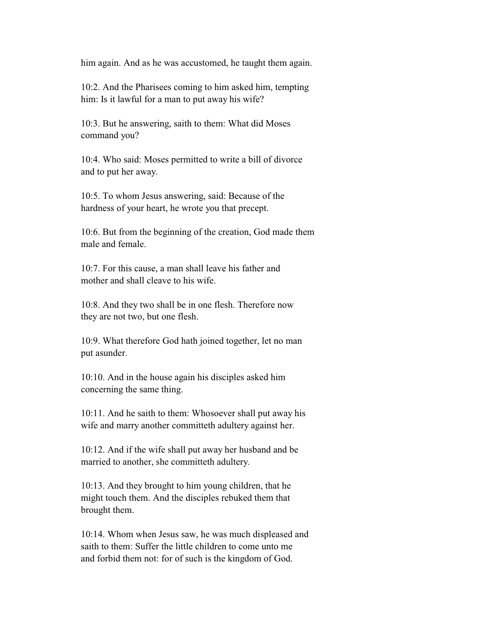him again. And as he was accustomed, he taught them again.

 10:2. And the Pharisees coming to him asked him, tempting him: Is it lawful for a man to put away his wife?

 10:3. But he answering, saith to them: What did Moses command you?

 10:4. Who said: Moses permitted to write a bill of divorce and to put her away.

 10:5. To whom Jesus answering, said: Because of the hardness of your heart, he wrote you that precept.

 10:6. But from the beginning of the creation, God made them male and female.

 10:7. For this cause, a man shall leave his father and mother and shall cleave to his wife.

 10:8. And they two shall be in one flesh. Therefore now they are not two, but one flesh.

 10:9. What therefore God hath joined together, let no man put asunder.

 10:10. And in the house again his disciples asked him concerning the same thing.

 10:11. And he saith to them: Whosoever shall put away his wife and marry another committeth adultery against her.

 10:12. And if the wife shall put away her husband and be married to another, she committeth adultery.

 10:13. And they brought to him young children, that he might touch them. And the disciples rebuked them that brought them.

 10:14. Whom when Jesus saw, he was much displeased and saith to them: Suffer the little children to come unto me and forbid them not: for of such is the kingdom of God.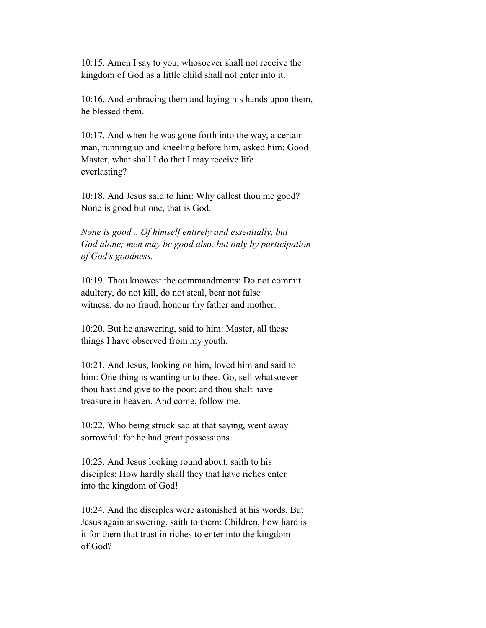10:15. Amen I say to you, whosoever shall not receive the kingdom of God as a little child shall not enter into it.

 10:16. And embracing them and laying his hands upon them, he blessed them.

 10:17. And when he was gone forth into the way, a certain man, running up and kneeling before him, asked him: Good Master, what shall I do that I may receive life everlasting?

 10:18. And Jesus said to him: Why callest thou me good? None is good but one, that is God.

 *None is good... Of himself entirely and essentially, but God alone; men may be good also, but only by participation of God's goodness.*

 10:19. Thou knowest the commandments: Do not commit adultery, do not kill, do not steal, bear not false witness, do no fraud, honour thy father and mother.

 10:20. But he answering, said to him: Master, all these things I have observed from my youth.

 10:21. And Jesus, looking on him, loved him and said to him: One thing is wanting unto thee. Go, sell whatsoever thou hast and give to the poor: and thou shalt have treasure in heaven. And come, follow me.

 10:22. Who being struck sad at that saying, went away sorrowful: for he had great possessions.

 10:23. And Jesus looking round about, saith to his disciples: How hardly shall they that have riches enter into the kingdom of God!

 10:24. And the disciples were astonished at his words. But Jesus again answering, saith to them: Children, how hard is it for them that trust in riches to enter into the kingdom of God?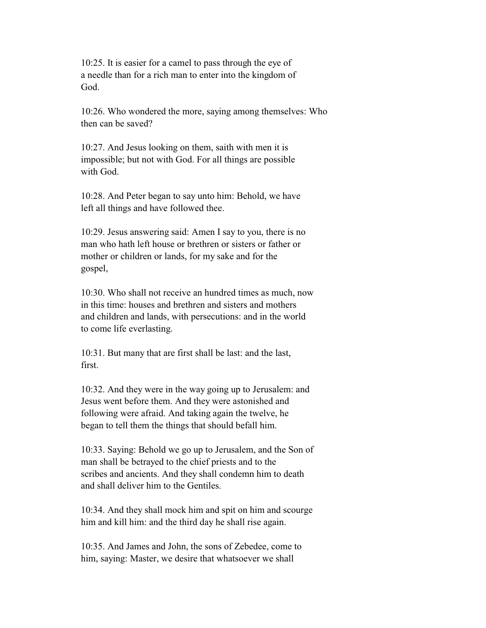10:25. It is easier for a camel to pass through the eye of a needle than for a rich man to enter into the kingdom of God.

 10:26. Who wondered the more, saying among themselves: Who then can be saved?

 10:27. And Jesus looking on them, saith with men it is impossible; but not with God. For all things are possible with God.

 10:28. And Peter began to say unto him: Behold, we have left all things and have followed thee.

 10:29. Jesus answering said: Amen I say to you, there is no man who hath left house or brethren or sisters or father or mother or children or lands, for my sake and for the gospel,

 10:30. Who shall not receive an hundred times as much, now in this time: houses and brethren and sisters and mothers and children and lands, with persecutions: and in the world to come life everlasting.

 10:31. But many that are first shall be last: and the last, first.

 10:32. And they were in the way going up to Jerusalem: and Jesus went before them. And they were astonished and following were afraid. And taking again the twelve, he began to tell them the things that should befall him.

 10:33. Saying: Behold we go up to Jerusalem, and the Son of man shall be betrayed to the chief priests and to the scribes and ancients. And they shall condemn him to death and shall deliver him to the Gentiles.

 10:34. And they shall mock him and spit on him and scourge him and kill him: and the third day he shall rise again.

 10:35. And James and John, the sons of Zebedee, come to him, saying: Master, we desire that whatsoever we shall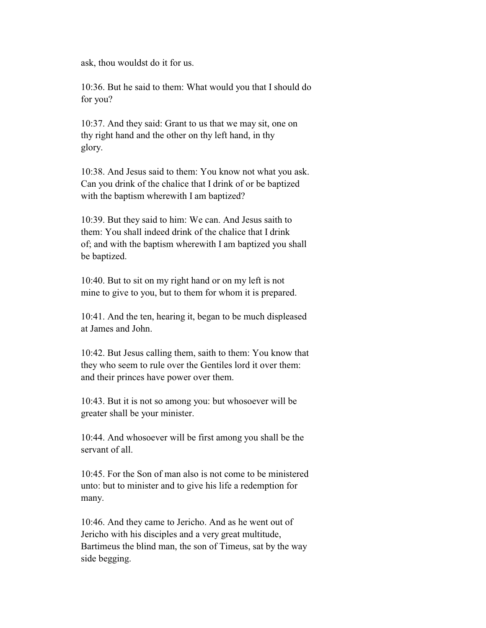ask, thou wouldst do it for us.

 10:36. But he said to them: What would you that I should do for you?

 10:37. And they said: Grant to us that we may sit, one on thy right hand and the other on thy left hand, in thy glory.

 10:38. And Jesus said to them: You know not what you ask. Can you drink of the chalice that I drink of or be baptized with the baptism wherewith I am baptized?

 10:39. But they said to him: We can. And Jesus saith to them: You shall indeed drink of the chalice that I drink of; and with the baptism wherewith I am baptized you shall be baptized.

 10:40. But to sit on my right hand or on my left is not mine to give to you, but to them for whom it is prepared.

 10:41. And the ten, hearing it, began to be much displeased at James and John.

 10:42. But Jesus calling them, saith to them: You know that they who seem to rule over the Gentiles lord it over them: and their princes have power over them.

 10:43. But it is not so among you: but whosoever will be greater shall be your minister.

 10:44. And whosoever will be first among you shall be the servant of all.

 10:45. For the Son of man also is not come to be ministered unto: but to minister and to give his life a redemption for many.

 10:46. And they came to Jericho. And as he went out of Jericho with his disciples and a very great multitude, Bartimeus the blind man, the son of Timeus, sat by the way side begging.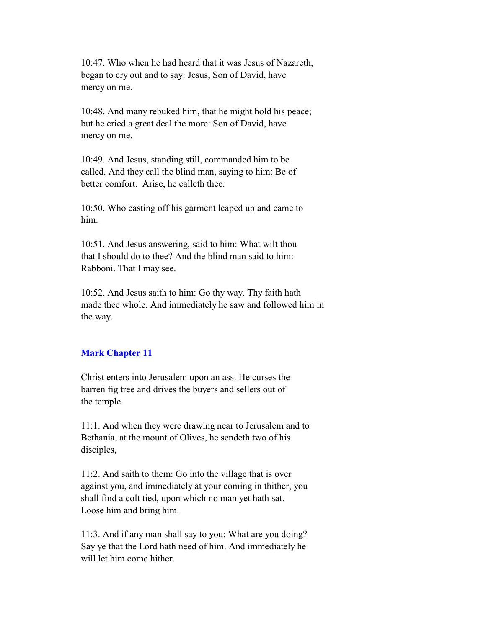10:47. Who when he had heard that it was Jesus of Nazareth, began to cry out and to say: Jesus, Son of David, have mercy on me.

 10:48. And many rebuked him, that he might hold his peace; but he cried a great deal the more: Son of David, have mercy on me.

 10:49. And Jesus, standing still, commanded him to be called. And they call the blind man, saying to him: Be of better comfort. Arise, he calleth thee.

 10:50. Who casting off his garment leaped up and came to him.

 10:51. And Jesus answering, said to him: What wilt thou that I should do to thee? And the blind man said to him: Rabboni. That I may see.

 10:52. And Jesus saith to him: Go thy way. Thy faith hath made thee whole. And immediately he saw and followed him in the way.

# **Mark Chapter 11**

 Christ enters into Jerusalem upon an ass. He curses the barren fig tree and drives the buyers and sellers out of the temple.

 11:1. And when they were drawing near to Jerusalem and to Bethania, at the mount of Olives, he sendeth two of his disciples,

 11:2. And saith to them: Go into the village that is over against you, and immediately at your coming in thither, you shall find a colt tied, upon which no man yet hath sat. Loose him and bring him.

 11:3. And if any man shall say to you: What are you doing? Say ye that the Lord hath need of him. And immediately he will let him come hither.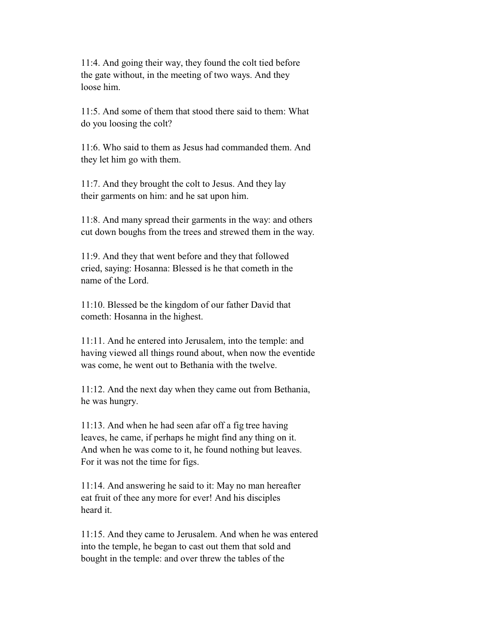11:4. And going their way, they found the colt tied before the gate without, in the meeting of two ways. And they loose him.

 11:5. And some of them that stood there said to them: What do you loosing the colt?

 11:6. Who said to them as Jesus had commanded them. And they let him go with them.

 11:7. And they brought the colt to Jesus. And they lay their garments on him: and he sat upon him.

 11:8. And many spread their garments in the way: and others cut down boughs from the trees and strewed them in the way.

 11:9. And they that went before and they that followed cried, saying: Hosanna: Blessed is he that cometh in the name of the Lord.

 11:10. Blessed be the kingdom of our father David that cometh: Hosanna in the highest.

 11:11. And he entered into Jerusalem, into the temple: and having viewed all things round about, when now the eventide was come, he went out to Bethania with the twelve.

 11:12. And the next day when they came out from Bethania, he was hungry.

 11:13. And when he had seen afar off a fig tree having leaves, he came, if perhaps he might find any thing on it. And when he was come to it, he found nothing but leaves. For it was not the time for figs.

 11:14. And answering he said to it: May no man hereafter eat fruit of thee any more for ever! And his disciples heard it.

 11:15. And they came to Jerusalem. And when he was entered into the temple, he began to cast out them that sold and bought in the temple: and over threw the tables of the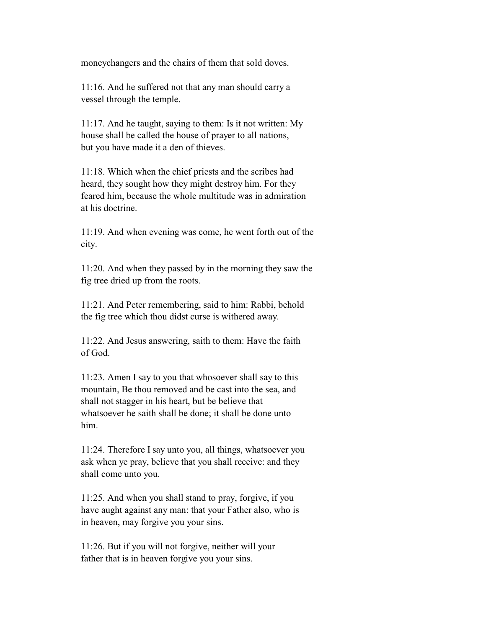moneychangers and the chairs of them that sold doves.

 11:16. And he suffered not that any man should carry a vessel through the temple.

 11:17. And he taught, saying to them: Is it not written: My house shall be called the house of prayer to all nations, but you have made it a den of thieves.

 11:18. Which when the chief priests and the scribes had heard, they sought how they might destroy him. For they feared him, because the whole multitude was in admiration at his doctrine.

 11:19. And when evening was come, he went forth out of the city.

 11:20. And when they passed by in the morning they saw the fig tree dried up from the roots.

 11:21. And Peter remembering, said to him: Rabbi, behold the fig tree which thou didst curse is withered away.

 11:22. And Jesus answering, saith to them: Have the faith of God.

 11:23. Amen I say to you that whosoever shall say to this mountain, Be thou removed and be cast into the sea, and shall not stagger in his heart, but be believe that whatsoever he saith shall be done; it shall be done unto him.

 11:24. Therefore I say unto you, all things, whatsoever you ask when ye pray, believe that you shall receive: and they shall come unto you.

 11:25. And when you shall stand to pray, forgive, if you have aught against any man: that your Father also, who is in heaven, may forgive you your sins.

 11:26. But if you will not forgive, neither will your father that is in heaven forgive you your sins.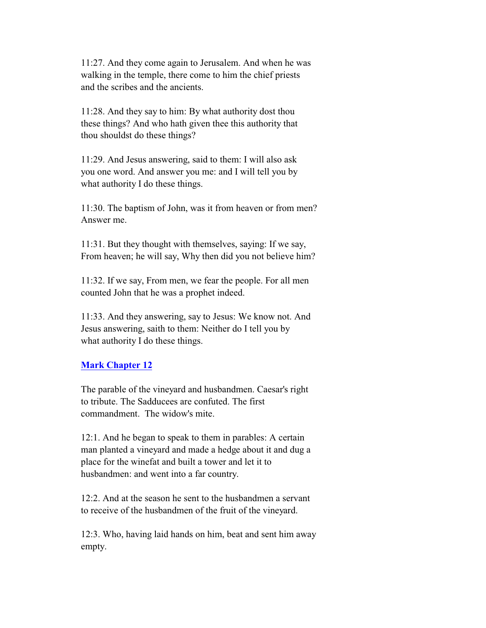11:27. And they come again to Jerusalem. And when he was walking in the temple, there come to him the chief priests and the scribes and the ancients.

 11:28. And they say to him: By what authority dost thou these things? And who hath given thee this authority that thou shouldst do these things?

 11:29. And Jesus answering, said to them: I will also ask you one word. And answer you me: and I will tell you by what authority I do these things.

 11:30. The baptism of John, was it from heaven or from men? Answer me.

 11:31. But they thought with themselves, saying: If we say, From heaven; he will say, Why then did you not believe him?

 11:32. If we say, From men, we fear the people. For all men counted John that he was a prophet indeed.

 11:33. And they answering, say to Jesus: We know not. And Jesus answering, saith to them: Neither do I tell you by what authority I do these things.

## **Mark Chapter 12**

 The parable of the vineyard and husbandmen. Caesar's right to tribute. The Sadducees are confuted. The first commandment. The widow's mite.

 12:1. And he began to speak to them in parables: A certain man planted a vineyard and made a hedge about it and dug a place for the winefat and built a tower and let it to husbandmen: and went into a far country.

 12:2. And at the season he sent to the husbandmen a servant to receive of the husbandmen of the fruit of the vineyard.

 12:3. Who, having laid hands on him, beat and sent him away empty.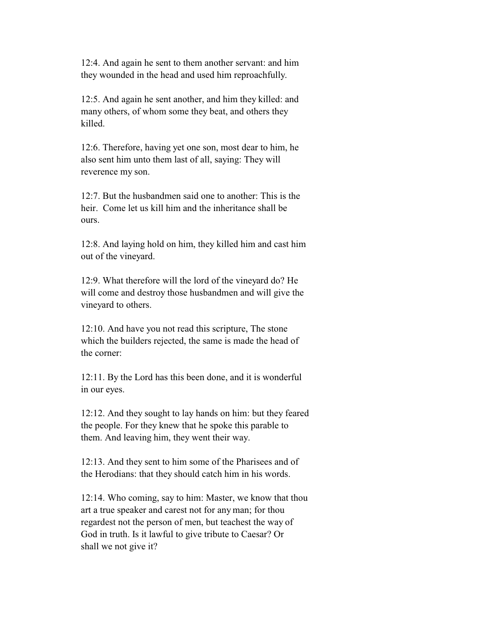12:4. And again he sent to them another servant: and him they wounded in the head and used him reproachfully.

 12:5. And again he sent another, and him they killed: and many others, of whom some they beat, and others they killed.

 12:6. Therefore, having yet one son, most dear to him, he also sent him unto them last of all, saying: They will reverence my son.

 12:7. But the husbandmen said one to another: This is the heir. Come let us kill him and the inheritance shall be ours.

 12:8. And laying hold on him, they killed him and cast him out of the vineyard.

 12:9. What therefore will the lord of the vineyard do? He will come and destroy those husbandmen and will give the vineyard to others.

 12:10. And have you not read this scripture, The stone which the builders rejected, the same is made the head of the corner:

 12:11. By the Lord has this been done, and it is wonderful in our eyes.

 12:12. And they sought to lay hands on him: but they feared the people. For they knew that he spoke this parable to them. And leaving him, they went their way.

 12:13. And they sent to him some of the Pharisees and of the Herodians: that they should catch him in his words.

 12:14. Who coming, say to him: Master, we know that thou art a true speaker and carest not for any man; for thou regardest not the person of men, but teachest the way of God in truth. Is it lawful to give tribute to Caesar? Or shall we not give it?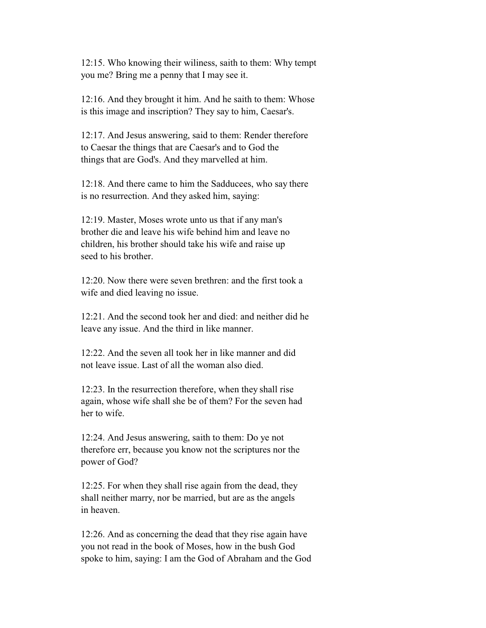12:15. Who knowing their wiliness, saith to them: Why tempt you me? Bring me a penny that I may see it.

 12:16. And they brought it him. And he saith to them: Whose is this image and inscription? They say to him, Caesar's.

 12:17. And Jesus answering, said to them: Render therefore to Caesar the things that are Caesar's and to God the things that are God's. And they marvelled at him.

 12:18. And there came to him the Sadducees, who say there is no resurrection. And they asked him, saying:

 12:19. Master, Moses wrote unto us that if any man's brother die and leave his wife behind him and leave no children, his brother should take his wife and raise up seed to his brother.

 12:20. Now there were seven brethren: and the first took a wife and died leaving no issue.

 12:21. And the second took her and died: and neither did he leave any issue. And the third in like manner.

 12:22. And the seven all took her in like manner and did not leave issue. Last of all the woman also died.

 12:23. In the resurrection therefore, when they shall rise again, whose wife shall she be of them? For the seven had her to wife.

 12:24. And Jesus answering, saith to them: Do ye not therefore err, because you know not the scriptures nor the power of God?

 12:25. For when they shall rise again from the dead, they shall neither marry, nor be married, but are as the angels in heaven.

 12:26. And as concerning the dead that they rise again have you not read in the book of Moses, how in the bush God spoke to him, saying: I am the God of Abraham and the God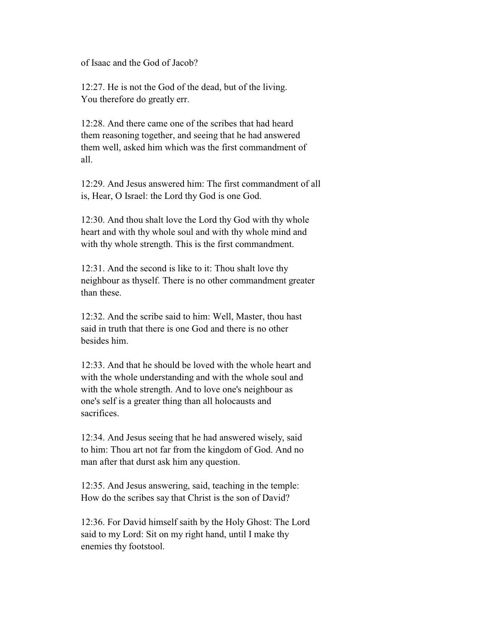of Isaac and the God of Jacob?

 12:27. He is not the God of the dead, but of the living. You therefore do greatly err.

 12:28. And there came one of the scribes that had heard them reasoning together, and seeing that he had answered them well, asked him which was the first commandment of all.

 12:29. And Jesus answered him: The first commandment of all is, Hear, O Israel: the Lord thy God is one God.

 12:30. And thou shalt love the Lord thy God with thy whole heart and with thy whole soul and with thy whole mind and with thy whole strength. This is the first commandment.

 12:31. And the second is like to it: Thou shalt love thy neighbour as thyself. There is no other commandment greater than these.

 12:32. And the scribe said to him: Well, Master, thou hast said in truth that there is one God and there is no other besides him.

 12:33. And that he should be loved with the whole heart and with the whole understanding and with the whole soul and with the whole strength. And to love one's neighbour as one's self is a greater thing than all holocausts and sacrifices.

 12:34. And Jesus seeing that he had answered wisely, said to him: Thou art not far from the kingdom of God. And no man after that durst ask him any question.

 12:35. And Jesus answering, said, teaching in the temple: How do the scribes say that Christ is the son of David?

 12:36. For David himself saith by the Holy Ghost: The Lord said to my Lord: Sit on my right hand, until I make thy enemies thy footstool.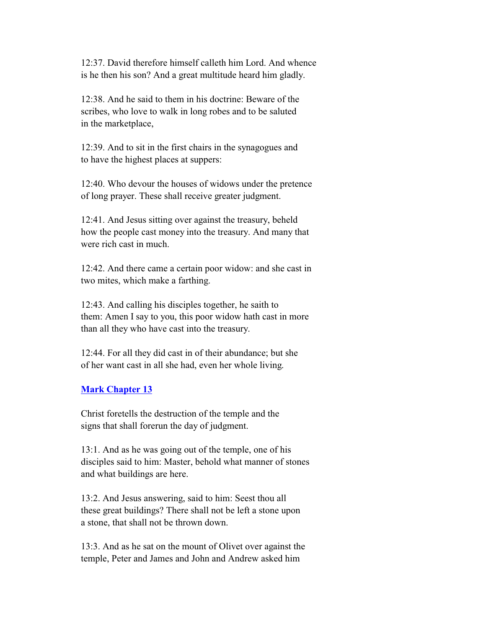12:37. David therefore himself calleth him Lord. And whence is he then his son? And a great multitude heard him gladly.

 12:38. And he said to them in his doctrine: Beware of the scribes, who love to walk in long robes and to be saluted in the marketplace,

 12:39. And to sit in the first chairs in the synagogues and to have the highest places at suppers:

 12:40. Who devour the houses of widows under the pretence of long prayer. These shall receive greater judgment.

 12:41. And Jesus sitting over against the treasury, beheld how the people cast money into the treasury. And many that were rich cast in much.

 12:42. And there came a certain poor widow: and she cast in two mites, which make a farthing.

 12:43. And calling his disciples together, he saith to them: Amen I say to you, this poor widow hath cast in more than all they who have cast into the treasury.

 12:44. For all they did cast in of their abundance; but she of her want cast in all she had, even her whole living.

## **Mark Chapter 13**

 Christ foretells the destruction of the temple and the signs that shall forerun the day of judgment.

 13:1. And as he was going out of the temple, one of his disciples said to him: Master, behold what manner of stones and what buildings are here.

 13:2. And Jesus answering, said to him: Seest thou all these great buildings? There shall not be left a stone upon a stone, that shall not be thrown down.

 13:3. And as he sat on the mount of Olivet over against the temple, Peter and James and John and Andrew asked him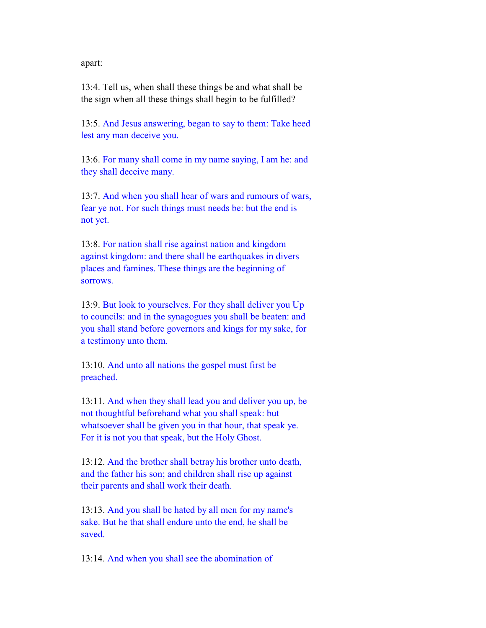apart:

 13:4. Tell us, when shall these things be and what shall be the sign when all these things shall begin to be fulfilled?

 13:5. And Jesus answering, began to say to them: Take heed lest any man deceive you.

 13:6. For many shall come in my name saying, I am he: and they shall deceive many.

 13:7. And when you shall hear of wars and rumours of wars, fear ye not. For such things must needs be: but the end is not yet.

 13:8. For nation shall rise against nation and kingdom against kingdom: and there shall be earthquakes in divers places and famines. These things are the beginning of sorrows.

 13:9. But look to yourselves. For they shall deliver you Up to councils: and in the synagogues you shall be beaten: and you shall stand before governors and kings for my sake, for a testimony unto them.

 13:10. And unto all nations the gospel must first be preached.

 13:11. And when they shall lead you and deliver you up, be not thoughtful beforehand what you shall speak: but whatsoever shall be given you in that hour, that speak ye. For it is not you that speak, but the Holy Ghost.

 13:12. And the brother shall betray his brother unto death, and the father his son; and children shall rise up against their parents and shall work their death.

 13:13. And you shall be hated by all men for my name's sake. But he that shall endure unto the end, he shall be saved.

13:14. And when you shall see the abomination of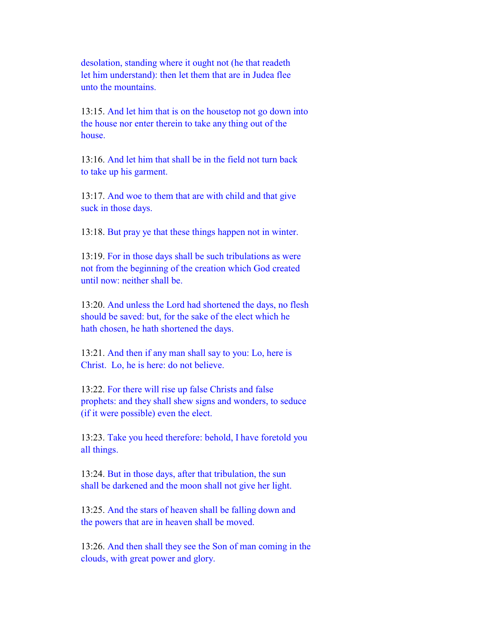desolation, standing where it ought not (he that readeth let him understand): then let them that are in Judea flee unto the mountains.

 13:15. And let him that is on the housetop not go down into the house nor enter therein to take any thing out of the house.

 13:16. And let him that shall be in the field not turn back to take up his garment.

 13:17. And woe to them that are with child and that give suck in those days.

13:18. But pray ye that these things happen not in winter.

 13:19. For in those days shall be such tribulations as were not from the beginning of the creation which God created until now: neither shall be.

 13:20. And unless the Lord had shortened the days, no flesh should be saved: but, for the sake of the elect which he hath chosen, he hath shortened the days.

 13:21. And then if any man shall say to you: Lo, here is Christ. Lo, he is here: do not believe.

 13:22. For there will rise up false Christs and false prophets: and they shall shew signs and wonders, to seduce (if it were possible) even the elect.

 13:23. Take you heed therefore: behold, I have foretold you all things.

 13:24. But in those days, after that tribulation, the sun shall be darkened and the moon shall not give her light.

 13:25. And the stars of heaven shall be falling down and the powers that are in heaven shall be moved.

 13:26. And then shall they see the Son of man coming in the clouds, with great power and glory.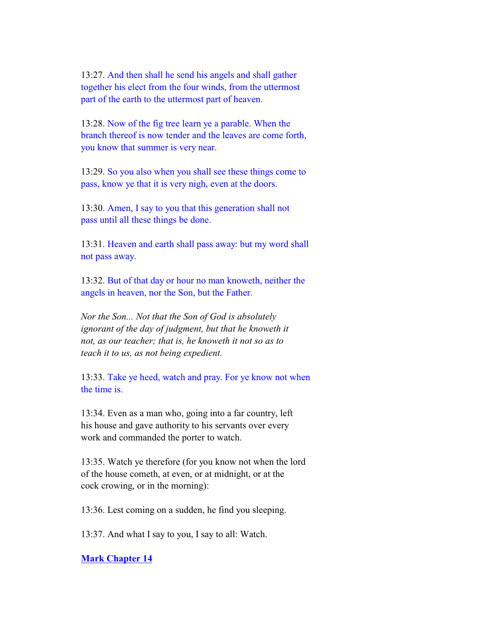13:27. And then shall he send his angels and shall gather together his elect from the four winds, from the uttermost part of the earth to the uttermost part of heaven.

 13:28. Now of the fig tree learn ye a parable. When the branch thereof is now tender and the leaves are come forth, you know that summer is very near.

 13:29. So you also when you shall see these things come to pass, know ye that it is very nigh, even at the doors.

 13:30. Amen, I say to you that this generation shall not pass until all these things be done.

 13:31. Heaven and earth shall pass away: but my word shall not pass away.

 13:32. But of that day or hour no man knoweth, neither the angels in heaven, nor the Son, but the Father.

 *Nor the Son... Not that the Son of God is absolutely ignorant of the day of judgment, but that he knoweth it not, as our teacher; that is, he knoweth it not so as to teach it to us, as not being expedient.*

 13:33. Take ye heed, watch and pray. For ye know not when the time is.

 13:34. Even as a man who, going into a far country, left his house and gave authority to his servants over every work and commanded the porter to watch.

 13:35. Watch ye therefore (for you know not when the lord of the house cometh, at even, or at midnight, or at the cock crowing, or in the morning):

13:36. Lest coming on a sudden, he find you sleeping.

13:37. And what I say to you, I say to all: Watch.

**Mark Chapter 14**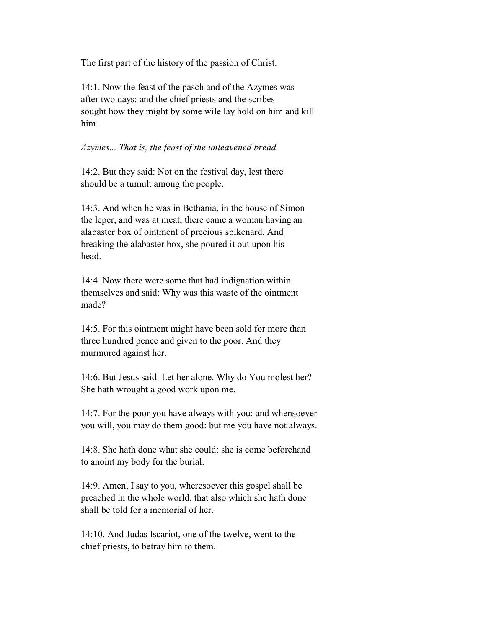The first part of the history of the passion of Christ.

 14:1. Now the feast of the pasch and of the Azymes was after two days: and the chief priests and the scribes sought how they might by some wile lay hold on him and kill him.

*Azymes... That is, the feast of the unleavened bread.*

 14:2. But they said: Not on the festival day, lest there should be a tumult among the people.

 14:3. And when he was in Bethania, in the house of Simon the leper, and was at meat, there came a woman having an alabaster box of ointment of precious spikenard. And breaking the alabaster box, she poured it out upon his head.

 14:4. Now there were some that had indignation within themselves and said: Why was this waste of the ointment made?

 14:5. For this ointment might have been sold for more than three hundred pence and given to the poor. And they murmured against her.

 14:6. But Jesus said: Let her alone. Why do You molest her? She hath wrought a good work upon me.

 14:7. For the poor you have always with you: and whensoever you will, you may do them good: but me you have not always.

 14:8. She hath done what she could: she is come beforehand to anoint my body for the burial.

 14:9. Amen, I say to you, wheresoever this gospel shall be preached in the whole world, that also which she hath done shall be told for a memorial of her.

 14:10. And Judas Iscariot, one of the twelve, went to the chief priests, to betray him to them.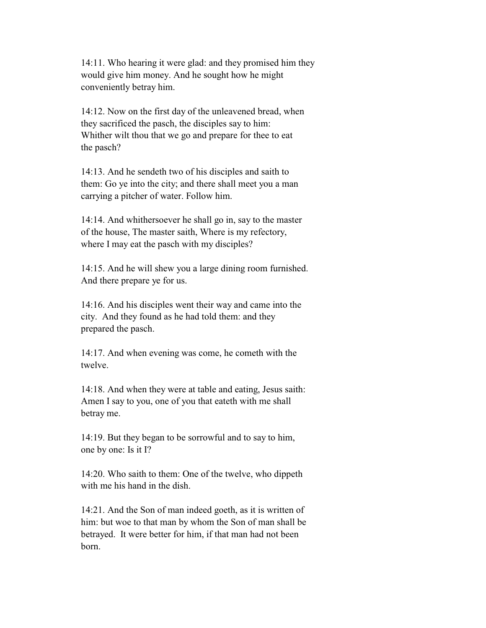14:11. Who hearing it were glad: and they promised him they would give him money. And he sought how he might conveniently betray him.

 14:12. Now on the first day of the unleavened bread, when they sacrificed the pasch, the disciples say to him: Whither wilt thou that we go and prepare for thee to eat the pasch?

 14:13. And he sendeth two of his disciples and saith to them: Go ye into the city; and there shall meet you a man carrying a pitcher of water. Follow him.

 14:14. And whithersoever he shall go in, say to the master of the house, The master saith, Where is my refectory, where I may eat the pasch with my disciples?

 14:15. And he will shew you a large dining room furnished. And there prepare ye for us.

 14:16. And his disciples went their way and came into the city. And they found as he had told them: and they prepared the pasch.

 14:17. And when evening was come, he cometh with the twelve.

 14:18. And when they were at table and eating, Jesus saith: Amen I say to you, one of you that eateth with me shall betray me.

 14:19. But they began to be sorrowful and to say to him, one by one: Is it I?

 14:20. Who saith to them: One of the twelve, who dippeth with me his hand in the dish.

 14:21. And the Son of man indeed goeth, as it is written of him: but woe to that man by whom the Son of man shall be betrayed. It were better for him, if that man had not been born.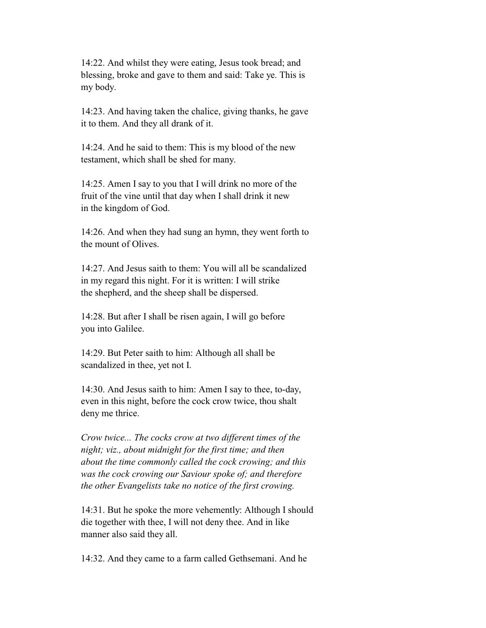14:22. And whilst they were eating, Jesus took bread; and blessing, broke and gave to them and said: Take ye. This is my body.

 14:23. And having taken the chalice, giving thanks, he gave it to them. And they all drank of it.

 14:24. And he said to them: This is my blood of the new testament, which shall be shed for many.

 14:25. Amen I say to you that I will drink no more of the fruit of the vine until that day when I shall drink it new in the kingdom of God.

 14:26. And when they had sung an hymn, they went forth to the mount of Olives.

 14:27. And Jesus saith to them: You will all be scandalized in my regard this night. For it is written: I will strike the shepherd, and the sheep shall be dispersed.

 14:28. But after I shall be risen again, I will go before you into Galilee.

 14:29. But Peter saith to him: Although all shall be scandalized in thee, yet not I.

 14:30. And Jesus saith to him: Amen I say to thee, to-day, even in this night, before the cock crow twice, thou shalt deny me thrice.

 *Crow twice... The cocks crow at two different times of the night; viz., about midnight for the first time; and then about the time commonly called the cock crowing; and this was the cock crowing our Saviour spoke of; and therefore the other Evangelists take no notice of the first crowing.*

 14:31. But he spoke the more vehemently: Although I should die together with thee, I will not deny thee. And in like manner also said they all.

14:32. And they came to a farm called Gethsemani. And he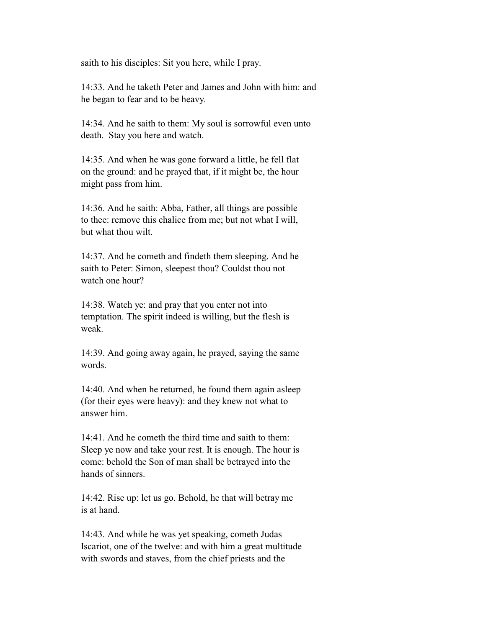saith to his disciples: Sit you here, while I pray.

 14:33. And he taketh Peter and James and John with him: and he began to fear and to be heavy.

 14:34. And he saith to them: My soul is sorrowful even unto death. Stay you here and watch.

 14:35. And when he was gone forward a little, he fell flat on the ground: and he prayed that, if it might be, the hour might pass from him.

 14:36. And he saith: Abba, Father, all things are possible to thee: remove this chalice from me; but not what I will, but what thou wilt.

 14:37. And he cometh and findeth them sleeping. And he saith to Peter: Simon, sleepest thou? Couldst thou not watch one hour?

 14:38. Watch ye: and pray that you enter not into temptation. The spirit indeed is willing, but the flesh is weak.

 14:39. And going away again, he prayed, saying the same words.

 14:40. And when he returned, he found them again asleep (for their eyes were heavy): and they knew not what to answer him.

 14:41. And he cometh the third time and saith to them: Sleep ye now and take your rest. It is enough. The hour is come: behold the Son of man shall be betrayed into the hands of sinners.

 14:42. Rise up: let us go. Behold, he that will betray me is at hand.

 14:43. And while he was yet speaking, cometh Judas Iscariot, one of the twelve: and with him a great multitude with swords and staves, from the chief priests and the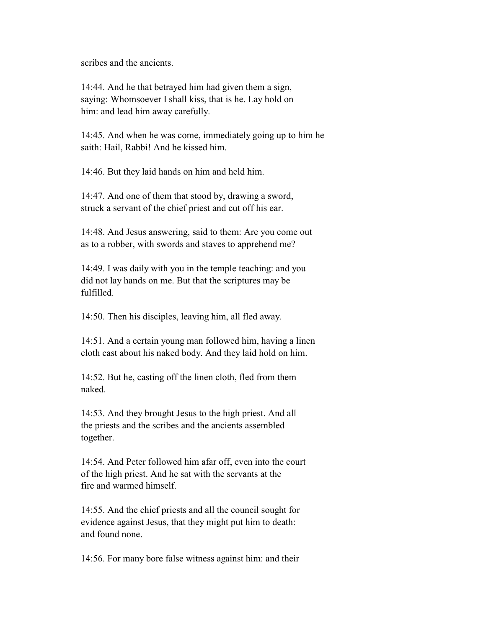scribes and the ancients.

 14:44. And he that betrayed him had given them a sign, saying: Whomsoever I shall kiss, that is he. Lay hold on him: and lead him away carefully.

 14:45. And when he was come, immediately going up to him he saith: Hail, Rabbi! And he kissed him.

14:46. But they laid hands on him and held him.

 14:47. And one of them that stood by, drawing a sword, struck a servant of the chief priest and cut off his ear.

 14:48. And Jesus answering, said to them: Are you come out as to a robber, with swords and staves to apprehend me?

 14:49. I was daily with you in the temple teaching: and you did not lay hands on me. But that the scriptures may be fulfilled.

14:50. Then his disciples, leaving him, all fled away.

 14:51. And a certain young man followed him, having a linen cloth cast about his naked body. And they laid hold on him.

 14:52. But he, casting off the linen cloth, fled from them naked.

 14:53. And they brought Jesus to the high priest. And all the priests and the scribes and the ancients assembled together.

 14:54. And Peter followed him afar off, even into the court of the high priest. And he sat with the servants at the fire and warmed himself.

 14:55. And the chief priests and all the council sought for evidence against Jesus, that they might put him to death: and found none.

14:56. For many bore false witness against him: and their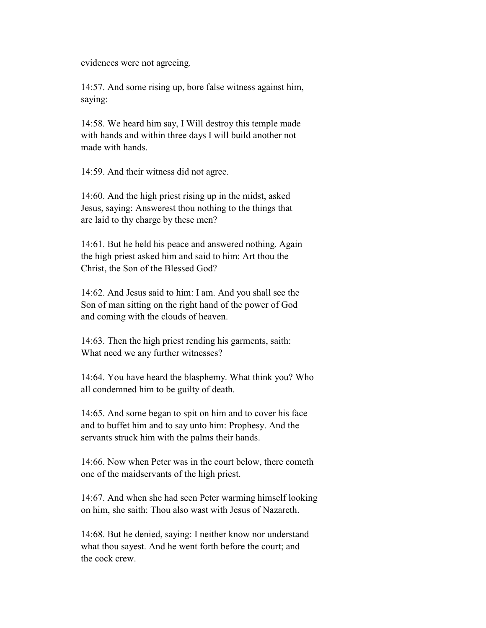evidences were not agreeing.

 14:57. And some rising up, bore false witness against him, saying:

 14:58. We heard him say, I Will destroy this temple made with hands and within three days I will build another not made with hands.

14:59. And their witness did not agree.

 14:60. And the high priest rising up in the midst, asked Jesus, saying: Answerest thou nothing to the things that are laid to thy charge by these men?

 14:61. But he held his peace and answered nothing. Again the high priest asked him and said to him: Art thou the Christ, the Son of the Blessed God?

 14:62. And Jesus said to him: I am. And you shall see the Son of man sitting on the right hand of the power of God and coming with the clouds of heaven.

 14:63. Then the high priest rending his garments, saith: What need we any further witnesses?

 14:64. You have heard the blasphemy. What think you? Who all condemned him to be guilty of death.

 14:65. And some began to spit on him and to cover his face and to buffet him and to say unto him: Prophesy. And the servants struck him with the palms their hands.

 14:66. Now when Peter was in the court below, there cometh one of the maidservants of the high priest.

 14:67. And when she had seen Peter warming himself looking on him, she saith: Thou also wast with Jesus of Nazareth.

 14:68. But he denied, saying: I neither know nor understand what thou sayest. And he went forth before the court; and the cock crew.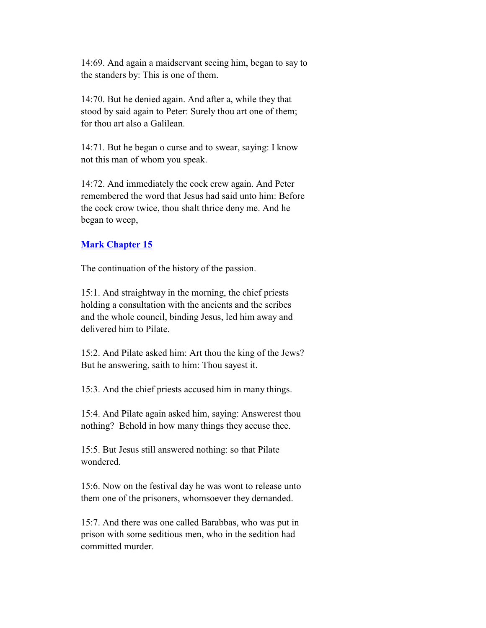14:69. And again a maidservant seeing him, began to say to the standers by: This is one of them.

 14:70. But he denied again. And after a, while they that stood by said again to Peter: Surely thou art one of them; for thou art also a Galilean.

 14:71. But he began o curse and to swear, saying: I know not this man of whom you speak.

 14:72. And immediately the cock crew again. And Peter remembered the word that Jesus had said unto him: Before the cock crow twice, thou shalt thrice deny me. And he began to weep,

## **Mark Chapter 15**

The continuation of the history of the passion.

 15:1. And straightway in the morning, the chief priests holding a consultation with the ancients and the scribes and the whole council, binding Jesus, led him away and delivered him to Pilate.

 15:2. And Pilate asked him: Art thou the king of the Jews? But he answering, saith to him: Thou sayest it.

15:3. And the chief priests accused him in many things.

 15:4. And Pilate again asked him, saying: Answerest thou nothing? Behold in how many things they accuse thee.

 15:5. But Jesus still answered nothing: so that Pilate wondered.

 15:6. Now on the festival day he was wont to release unto them one of the prisoners, whomsoever they demanded.

 15:7. And there was one called Barabbas, who was put in prison with some seditious men, who in the sedition had committed murder.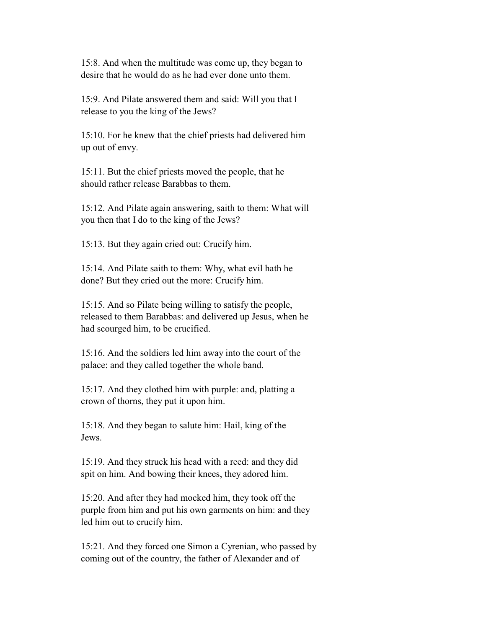15:8. And when the multitude was come up, they began to desire that he would do as he had ever done unto them.

 15:9. And Pilate answered them and said: Will you that I release to you the king of the Jews?

 15:10. For he knew that the chief priests had delivered him up out of envy.

 15:11. But the chief priests moved the people, that he should rather release Barabbas to them.

 15:12. And Pilate again answering, saith to them: What will you then that I do to the king of the Jews?

15:13. But they again cried out: Crucify him.

 15:14. And Pilate saith to them: Why, what evil hath he done? But they cried out the more: Crucify him.

 15:15. And so Pilate being willing to satisfy the people, released to them Barabbas: and delivered up Jesus, when he had scourged him, to be crucified.

 15:16. And the soldiers led him away into the court of the palace: and they called together the whole band.

 15:17. And they clothed him with purple: and, platting a crown of thorns, they put it upon him.

 15:18. And they began to salute him: Hail, king of the Jews.

 15:19. And they struck his head with a reed: and they did spit on him. And bowing their knees, they adored him.

 15:20. And after they had mocked him, they took off the purple from him and put his own garments on him: and they led him out to crucify him.

 15:21. And they forced one Simon a Cyrenian, who passed by coming out of the country, the father of Alexander and of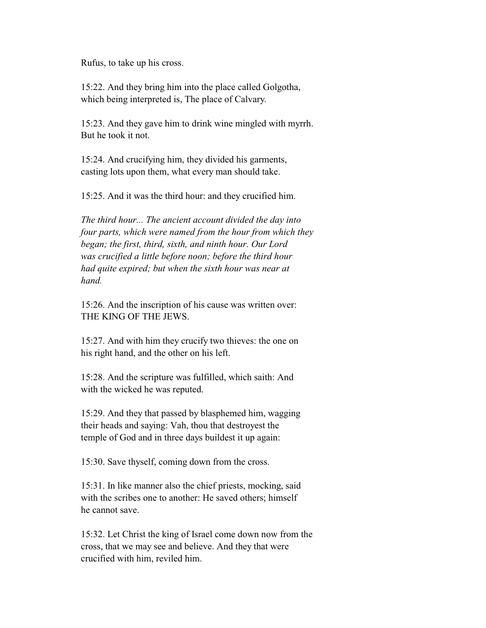Rufus, to take up his cross.

 15:22. And they bring him into the place called Golgotha, which being interpreted is, The place of Calvary.

 15:23. And they gave him to drink wine mingled with myrrh. But he took it not.

 15:24. And crucifying him, they divided his garments, casting lots upon them, what every man should take.

15:25. And it was the third hour: and they crucified him.

 *The third hour... The ancient account divided the day into four parts, which were named from the hour from which they began; the first, third, sixth, and ninth hour. Our Lord was crucified a little before noon; before the third hour had quite expired; but when the sixth hour was near at hand.*

 15:26. And the inscription of his cause was written over: THE KING OF THE JEWS.

 15:27. And with him they crucify two thieves: the one on his right hand, and the other on his left.

 15:28. And the scripture was fulfilled, which saith: And with the wicked he was reputed.

 15:29. And they that passed by blasphemed him, wagging their heads and saying: Vah, thou that destroyest the temple of God and in three days buildest it up again:

15:30. Save thyself, coming down from the cross.

 15:31. In like manner also the chief priests, mocking, said with the scribes one to another: He saved others; himself he cannot save.

 15:32. Let Christ the king of Israel come down now from the cross, that we may see and believe. And they that were crucified with him, reviled him.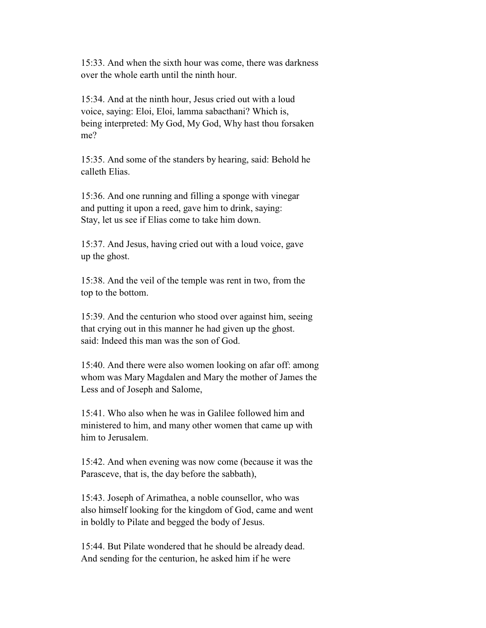15:33. And when the sixth hour was come, there was darkness over the whole earth until the ninth hour.

 15:34. And at the ninth hour, Jesus cried out with a loud voice, saying: Eloi, Eloi, lamma sabacthani? Which is, being interpreted: My God, My God, Why hast thou forsaken me?

 15:35. And some of the standers by hearing, said: Behold he calleth Elias.

 15:36. And one running and filling a sponge with vinegar and putting it upon a reed, gave him to drink, saying: Stay, let us see if Elias come to take him down.

 15:37. And Jesus, having cried out with a loud voice, gave up the ghost.

 15:38. And the veil of the temple was rent in two, from the top to the bottom.

 15:39. And the centurion who stood over against him, seeing that crying out in this manner he had given up the ghost. said: Indeed this man was the son of God.

 15:40. And there were also women looking on afar off: among whom was Mary Magdalen and Mary the mother of James the Less and of Joseph and Salome,

 15:41. Who also when he was in Galilee followed him and ministered to him, and many other women that came up with him to Jerusalem.

 15:42. And when evening was now come (because it was the Parasceve, that is, the day before the sabbath),

 15:43. Joseph of Arimathea, a noble counsellor, who was also himself looking for the kingdom of God, came and went in boldly to Pilate and begged the body of Jesus.

 15:44. But Pilate wondered that he should be already dead. And sending for the centurion, he asked him if he were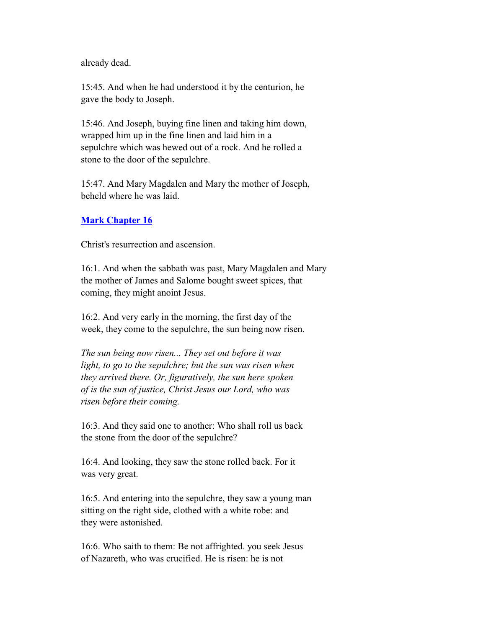already dead.

 15:45. And when he had understood it by the centurion, he gave the body to Joseph.

 15:46. And Joseph, buying fine linen and taking him down, wrapped him up in the fine linen and laid him in a sepulchre which was hewed out of a rock. And he rolled a stone to the door of the sepulchre.

 15:47. And Mary Magdalen and Mary the mother of Joseph, beheld where he was laid.

#### **Mark Chapter 16**

Christ's resurrection and ascension.

 16:1. And when the sabbath was past, Mary Magdalen and Mary the mother of James and Salome bought sweet spices, that coming, they might anoint Jesus.

 16:2. And very early in the morning, the first day of the week, they come to the sepulchre, the sun being now risen.

 *The sun being now risen... They set out before it was light, to go to the sepulchre; but the sun was risen when they arrived there. Or, figuratively, the sun here spoken of is the sun of justice, Christ Jesus our Lord, who was risen before their coming.*

 16:3. And they said one to another: Who shall roll us back the stone from the door of the sepulchre?

 16:4. And looking, they saw the stone rolled back. For it was very great.

 16:5. And entering into the sepulchre, they saw a young man sitting on the right side, clothed with a white robe: and they were astonished.

 16:6. Who saith to them: Be not affrighted. you seek Jesus of Nazareth, who was crucified. He is risen: he is not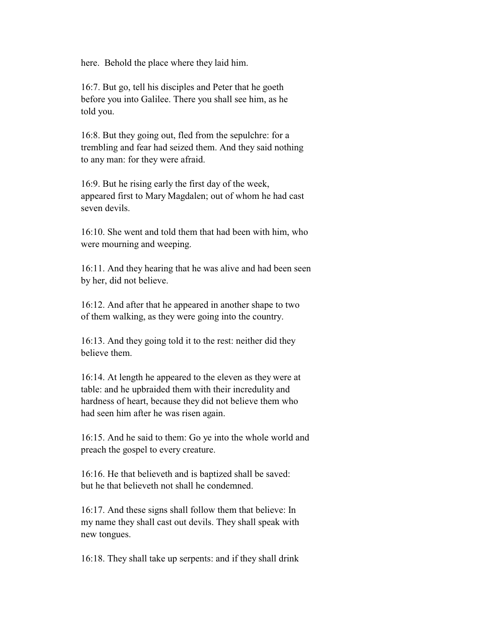here. Behold the place where they laid him.

 16:7. But go, tell his disciples and Peter that he goeth before you into Galilee. There you shall see him, as he told you.

 16:8. But they going out, fled from the sepulchre: for a trembling and fear had seized them. And they said nothing to any man: for they were afraid.

 16:9. But he rising early the first day of the week, appeared first to Mary Magdalen; out of whom he had cast seven devils.

 16:10. She went and told them that had been with him, who were mourning and weeping.

 16:11. And they hearing that he was alive and had been seen by her, did not believe.

 16:12. And after that he appeared in another shape to two of them walking, as they were going into the country.

 16:13. And they going told it to the rest: neither did they believe them.

 16:14. At length he appeared to the eleven as they were at table: and he upbraided them with their incredulity and hardness of heart, because they did not believe them who had seen him after he was risen again.

 16:15. And he said to them: Go ye into the whole world and preach the gospel to every creature.

 16:16. He that believeth and is baptized shall be saved: but he that believeth not shall he condemned.

 16:17. And these signs shall follow them that believe: In my name they shall cast out devils. They shall speak with new tongues.

16:18. They shall take up serpents: and if they shall drink